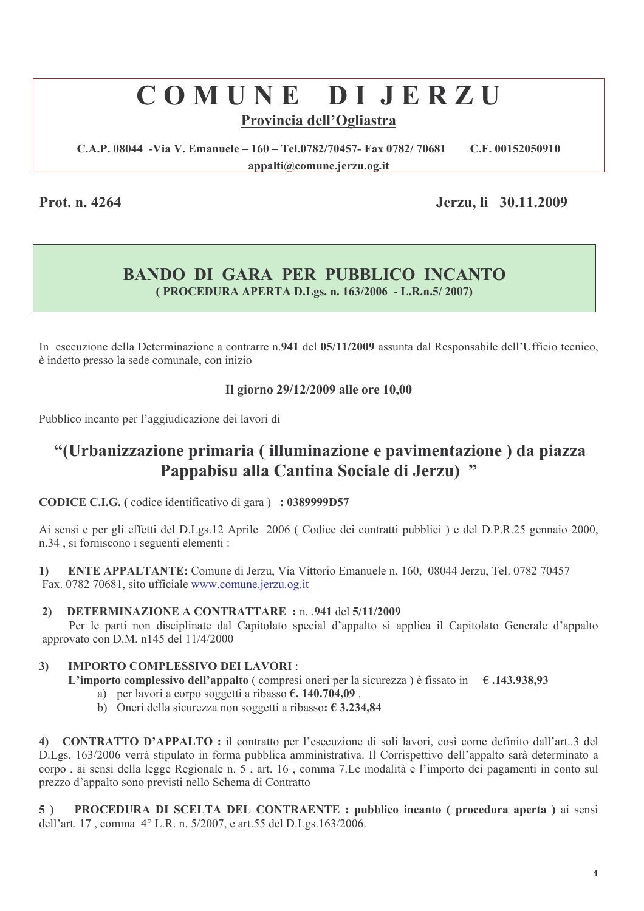# COMUNE DIJERZU

# Provincia dell'Ogliastra

C.A.P. 08044 - Via V. Emanuele - 160 - Tel.0782/70457- Fax 0782/70681 C.F. 00152050910 appalti@comune.jerzu.og.it

Prot. n. 4264

Jerzu, lì 30.11.2009

# **BANDO DI GARA PER PUBBLICO INCANTO** (PROCEDURA APERTA D.Lgs. n. 163/2006 - L.R.n.5/2007)

In esecuzione della Determinazione a contrarre n.941 del 05/11/2009 assunta dal Responsabile dell'Ufficio tecnico, è indetto presso la sede comunale, con inizio

### Il giorno 29/12/2009 alle ore 10,00

Pubblico incanto per l'aggiudicazione dei lavori di

# "(Urbanizzazione primaria (illuminazione e pavimentazione) da piazza Pappabisu alla Cantina Sociale di Jerzu) "

CODICE C.I.G. (codice identificativo di gara) : 0389999D57

Ai sensi e per gli effetti del D.Lgs.12 Aprile 2006 (Codice dei contratti pubblici) e del D.P.R.25 gennaio 2000, n.34, si forniscono i seguenti elementi:

**ENTE APPALTANTE:** Comune di Jerzu, Via Vittorio Emanuele n. 160, 08044 Jerzu, Tel. 0782 70457  $\mathbf{1}$ Fax. 0782 70681, sito ufficiale www.comune.jerzu.og.it

#### **DETERMINAZIONE A CONTRATTARE: n. 941 del 5/11/2009**  $2)$

Per le parti non disciplinate dal Capitolato special d'appalto si applica il Capitolato Generale d'appalto approvato con D.M. n145 del 11/4/2000

#### **IMPORTO COMPLESSIVO DEI LAVORI:**  $3)$

L'importo complessivo dell'appalto (compresi oneri per la sicurezza) è fissato in  $\epsilon$ .143.938,93

- a) per lavori a corpo soggetti a ribasso  $\epsilon$ , 140.704,09.
- b) Oneri della sicurezza non soggetti a ribasso:  $\epsilon$  3.234.84

4) CONTRATTO D'APPALTO : il contratto per l'esecuzione di soli lavori, così come definito dall'art..3 del D.Lgs. 163/2006 verrà stipulato in forma pubblica amministrativa. Il Corrispettivo dell'appalto sarà determinato a corpo, ai sensi della legge Regionale n. 5, art. 16, comma 7.Le modalità e l'importo dei pagamenti in conto sul prezzo d'appalto sono previsti nello Schema di Contratto

PROCEDURA DI SCELTA DEL CONTRAENTE : pubblico incanto ( procedura aperta ) ai sensi  $5)$ dell'art. 17, comma 4° L.R. n. 5/2007, e art.55 del D.Lgs.163/2006.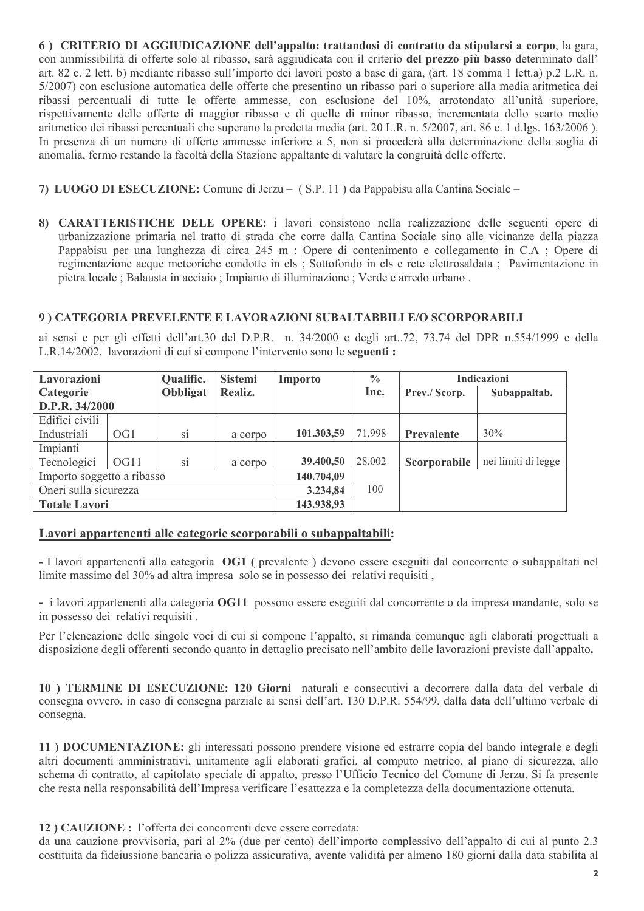6) CRITERIO DI AGGIUDICAZIONE dell'appalto: trattandosi di contratto da stipularsi a corpo, la gara, con ammissibilità di offerte solo al ribasso, sarà aggiudicata con il criterio del prezzo più basso determinato dall' art. 82 c. 2 lett. b) mediante ribasso sull'importo dei lavori posto a base di gara, (art. 18 comma 1 lett. a) p. 2 L.R. n. 5/2007) con esclusione automatica delle offerte che presentino un ribasso pari o superiore alla media aritmetica dei ribassi percentuali di tutte le offerte ammesse, con esclusione del 10%, arrotondato all'unità superiore, rispettivamente delle offerte di maggior ribasso e di quelle di minor ribasso, incrementata dello scarto medio aritmetico dei ribassi percentuali che superano la predetta media (art. 20 L.R. n. 5/2007, art. 86 c. 1 d.lgs. 163/2006). In presenza di un numero di offerte ammesse inferiore a 5, non si procederà alla determinazione della soglia di anomalia, fermo restando la facoltà della Stazione appaltante di valutare la congruità delle offerte.

- 7) LUOGO DI ESECUZIONE: Comune di Jerzu (S.P. 11) da Pappabisu alla Cantina Sociale –
- 8) CARATTERISTICHE DELE OPERE: i lavori consistono nella realizzazione delle seguenti opere di urbanizzazione primaria nel tratto di strada che corre dalla Cantina Sociale sino alle vicinanze della piazza Pappabisu per una lunghezza di circa 245 m : Opere di contenimento e collegamento in C.A ; Opere di regimentazione acque meteoriche condotte in cls ; Sottofondo in cls e rete elettrosaldata ; Pavimentazione in pietra locale; Balausta in acciaio; Impianto di illuminazione; Verde e arredo urbano.

### 9) CATEGORIA PREVELENTE E LAVORAZIONI SUBALTABBILI E/O SCORPORABILI

ai sensi e per gli effetti dell'art.30 del D.P.R. n. 34/2000 e degli art..72, 73,74 del DPR n.554/1999 e della L.R.14/2002, lavorazioni di cui si compone l'intervento sono le seguenti :

| Lavorazioni                |                 | Qualific.              | <b>Sistemi</b> | Importo    | $\frac{0}{0}$ | <b>Indicazioni</b>            |                     |
|----------------------------|-----------------|------------------------|----------------|------------|---------------|-------------------------------|---------------------|
| Categorie                  |                 | <b>Obbligat</b>        | Realiz.        |            | Inc.          | Prev./ Scorp.<br>Subappaltab. |                     |
| D.P.R. 34/2000             |                 |                        |                |            |               |                               |                     |
| Edifici civili             |                 |                        |                |            |               |                               |                     |
| Industriali                | OG <sub>1</sub> | S1                     | a corpo        | 101.303,59 | 71,998        | <b>Prevalente</b>             | 30%                 |
| Impianti                   |                 |                        |                |            |               |                               |                     |
| Tecnologici                | OG11            | $\overline{\text{si}}$ | a corpo        | 39.400,50  | 28,002        | Scorporabile                  | nei limiti di legge |
| Importo soggetto a ribasso |                 |                        |                | 140.704,09 |               |                               |                     |
| Oneri sulla sicurezza      |                 |                        |                | 3.234,84   | 100           |                               |                     |
| <b>Totale Lavori</b>       |                 |                        |                | 143.938,93 |               |                               |                     |

#### Lavori appartenenti alle categorie scorporabili o subappaltabili:

- I lavori appartenenti alla categoria OG1 (prevalente) devono essere eseguiti dal concorrente o subappaltati nel limite massimo del 30% ad altra impresa solo se in possesso dei relativi requisiti,

- i lavori appartenenti alla categoria OG11 possono essere eseguiti dal concorrente o da impresa mandante, solo se in possesso dei relativi requisiti.

Per l'elencazione delle singole voci di cui si compone l'appalto, si rimanda comunque agli elaborati progettuali a disposizione degli offerenti secondo quanto in dettaglio precisato nell'ambito delle lavorazioni previste dall'appalto.

10) TERMINE DI ESECUZIONE: 120 Giorni naturali e consecutivi a decorrere dalla data del verbale di consegna ovvero, in caso di consegna parziale ai sensi dell'art. 130 D.P.R. 554/99, dalla data dell'ultimo verbale di consegna.

11) DOCUMENTAZIONE: gli interessati possono prendere visione ed estrarre copia del bando integrale e degli altri documenti amministrativi, unitamente agli elaborati grafici, al computo metrico, al piano di sicurezza, allo schema di contratto, al capitolato speciale di appalto, presso l'Ufficio Tecnico del Comune di Jerzu. Si fa presente che resta nella responsabilità dell'Impresa verificare l'esattezza e la completezza della documentazione ottenuta.

#### 12) CAUZIONE : l'offerta dei concorrenti deve essere corredata:

da una cauzione provvisoria, pari al 2% (due per cento) dell'importo complessivo dell'appalto di cui al punto 2.3 costituita da fideiussione bancaria o polizza assicurativa, avente validità per almeno 180 giorni dalla data stabilita al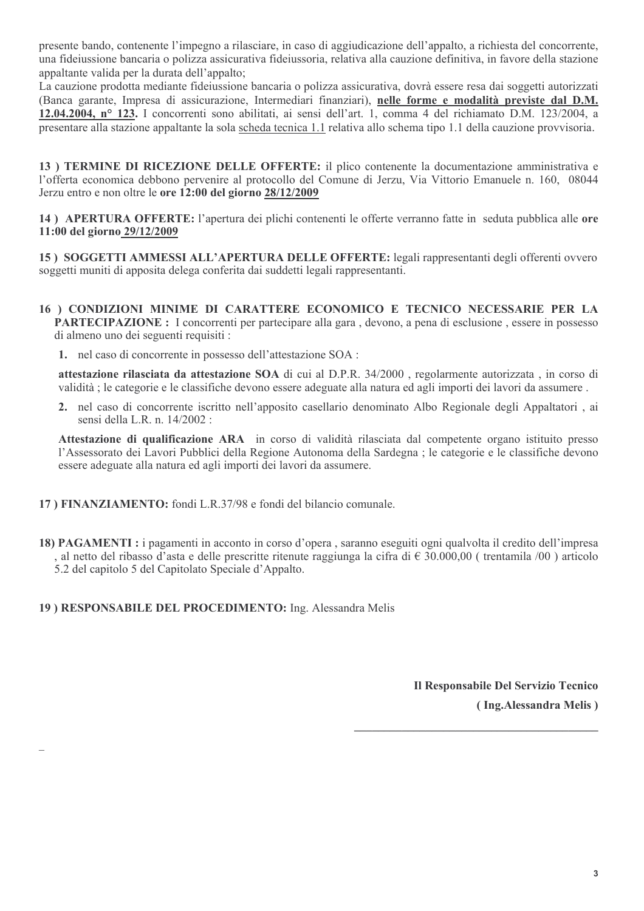presente bando, contenente l'impegno a rilasciare, in caso di aggiudicazione dell'appalto, a richiesta del concorrente, una fideiussione bancaria o polizza assicurativa fideiussoria, relativa alla cauzione definitiva, in favore della stazione appaltante valida per la durata dell'appalto:

La cauzione prodotta mediante fideiussione bancaria o polizza assicurativa, dovrà essere resa dai soggetti autorizzati (Banca garante, Impresa di assicurazione, Intermediari finanziari), nelle forme e modalità previste dal D.M. 12.04.2004, nº 123. I concorrenti sono abilitati, ai sensi dell'art. 1, comma 4 del richiamato D.M. 123/2004, a presentare alla stazione appaltante la sola scheda tecnica 1.1 relativa allo schema tipo 1.1 della cauzione provvisoria.

13) TERMINE DI RICEZIONE DELLE OFFERTE: il plico contenente la documentazione amministrativa e l'offerta economica debbono pervenire al protocollo del Comune di Jerzu, Via Vittorio Emanuele n. 160, 08044 Jerzu entro e non oltre le ore 12:00 del giorno 28/12/2009

14) APERTURA OFFERTE: l'apertura dei plichi contenenti le offerte verranno fatte in seduta pubblica alle ore 11:00 del giorno 29/12/2009

15) SOGGETTI AMMESSI ALL'APERTURA DELLE OFFERTE: legali rappresentanti degli offerenti ovvero soggetti muniti di apposita delega conferita dai suddetti legali rappresentanti.

- 16) CONDIZIONI MINIME DI CARATTERE ECONOMICO E TECNICO NECESSARIE PER LA **PARTECIPAZIONE**: I concorrenti per partecipare alla gara, devono, a pena di esclusione, essere in possesso di almeno uno dei seguenti requisiti :
	- 1. nel caso di concorrente in possesso dell'attestazione SOA :

attestazione rilasciata da attestazione SOA di cui al D.P.R. 34/2000, regolarmente autorizzata, in corso di validità : le categorie e le classifiche devono essere adeguate alla natura ed agli importi dei lavori da assumere.

2. nel caso di concorrente iscritto nell'apposito casellario denominato Albo Regionale degli Appaltatori, ai sensi della L.R. n. 14/2002 :

Attestazione di qualificazione ARA in corso di validità rilasciata dal competente organo istituito presso l'Assessorato dei Lavori Pubblici della Regione Autonoma della Sardegna : le categorie e le classifiche devono essere adeguate alla natura ed agli importi dei lavori da assumere.

- 17) FINANZIAMENTO: fondi L.R.37/98 e fondi del bilancio comunale.
- 18) PAGAMENTI : i pagamenti in acconto in corso d'opera , saranno eseguiti ogni qualvolta il credito dell'impresa , al netto del ribasso d'asta e delle prescritte ritenute raggiunga la cifra di € 30.000,00 (trentamila /00) articolo 5.2 del capitolo 5 del Capitolato Speciale d'Appalto.

#### 19) RESPONSABILE DEL PROCEDIMENTO: Ing. Alessandra Melis

Il Responsabile Del Servizio Tecnico (Ing.Alessandra Melis)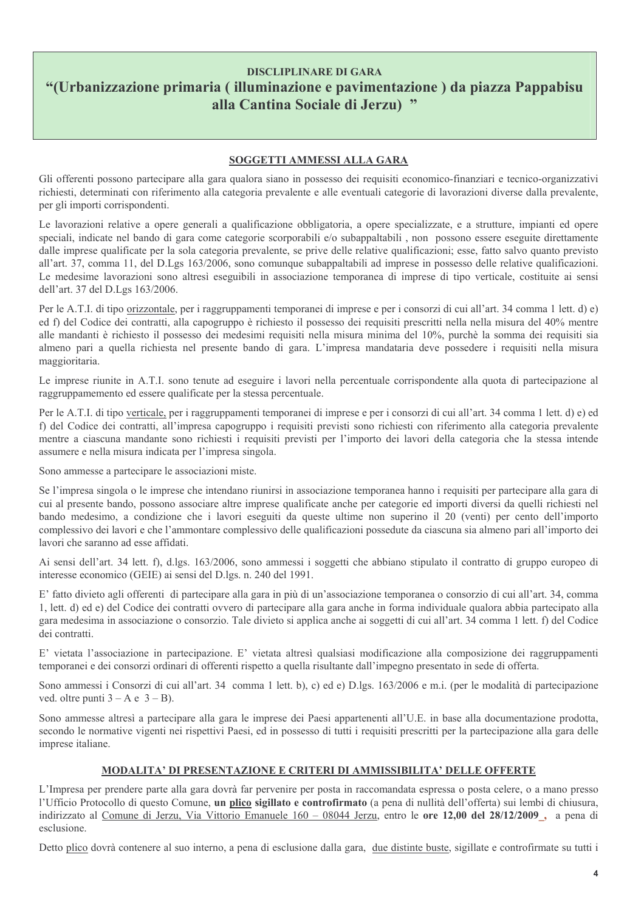### **DISCLIPLINARE DI GARA** "(Urbanizzazione primaria (illuminazione e pavimentazione) da piazza Pappabisu alla Cantina Sociale di Jerzu) "

#### SOGGETTI AMMESSI ALLA GARA

Gli offerenti possono partecipare alla gara qualora siano in possesso dei requisiti economico-finanziari e tecnico-organizzativi richiesti, determinati con riferimento alla categoria prevalente e alle eventuali categorie di lavorazioni diverse dalla prevalente, per gli importi corrispondenti.

Le lavorazioni relative a opere generali a qualificazione obbligatoria, a opere specializzate, e a strutture, impianti ed opere speciali, indicate nel bando di gara come categorie scorporabili e/o subappaltabili, non possono essere eseguite direttamente dalle imprese qualificate per la sola categoria prevalente, se prive delle relative qualificazioni; esse, fatto salvo quanto previsto all'art. 37, comma 11, del D.Lgs 163/2006, sono comunque subappaltabili ad imprese in possesso delle relative qualificazioni. Le medesime lavorazioni sono altresì eseguibili in associazione temporanea di imprese di tipo verticale, costituite ai sensi dell'art. 37 del D.Lgs 163/2006.

Per le A.T.I. di tipo orizzontale, per i raggruppamenti temporanei di imprese e per i consorzi di cui all'art. 34 comma 1 lett. d) e) ed f) del Codice dei contratti, alla capogruppo è richiesto il possesso dei requisiti prescritti nella nella misura del 40% mentre alle mandanti è richiesto il possesso dei medesimi requisiti nella misura minima del 10%, purchè la somma dei requisiti sia almeno pari a quella richiesta nel presente bando di gara. L'impresa mandataria deve possedere i requisiti nella misura maggioritaria.

Le imprese riunite in A.T.I. sono tenute ad eseguire i lavori nella percentuale corrispondente alla quota di partecipazione al raggruppamemento ed essere qualificate per la stessa percentuale.

Per le A.T.I. di tipo verticale, per i raggruppamenti temporanei di imprese e per i consorzi di cui all'art. 34 comma 1 lett. d) e) ed f) del Codice dei contratti, all'impresa capogruppo i requisiti previsti sono richiesti con riferimento alla categoria prevalente mentre a ciascuna mandante sono richiesti i requisiti previsti per l'importo dei lavori della categoria che la stessa intende assumere e nella misura indicata per l'impresa singola.

Sono ammesse a partecipare le associazioni miste.

Se l'impresa singola o le imprese che intendano riunirsi in associazione temporanea hanno i requisiti per partecipare alla gara di cui al presente bando, possono associare altre imprese qualificate anche per categorie ed importi diversi da quelli richiesti nel bando medesimo, a condizione che i lavori eseguiti da queste ultime non superino il 20 (venti) per cento dell'importo complessivo dei lavori e che l'ammontare complessivo delle qualificazioni possedute da ciascuna sia almeno pari all'importo dei lavori che saranno ad esse affidati.

Ai sensi dell'art. 34 lett. f), d.lgs. 163/2006, sono ammessi i soggetti che abbiano stipulato il contratto di gruppo europeo di interesse economico (GEIE) ai sensi del D.lgs. n. 240 del 1991.

E' fatto divieto agli offerenti di partecipare alla gara in più di un'associazione temporanea o consorzio di cui all'art. 34, comma 1, lett. d) ed e) del Codice dei contratti ovvero di partecipare alla gara anche in forma individuale qualora abbia partecipato alla gara medesima in associazione o consorzio. Tale divieto si applica anche ai soggetti di cui all'art. 34 comma 1 lett. f) del Codice dei contratti.

E' vietata l'associazione in partecipazione. E' vietata altresì qualsiasi modificazione alla composizione dei raggruppamenti temporanei e dei consorzi ordinari di offerenti rispetto a quella risultante dall'impegno presentato in sede di offerta.

Sono ammessi i Consorzi di cui all'art. 34 comma 1 lett. b), c) ed e) D.lgs. 163/2006 e m.i. (per le modalità di partecipazione ved. oltre punti  $3 - A e 3 - B$ ).

Sono ammesse altresì a partecipare alla gara le imprese dei Paesi appartenenti all'U.E. in base alla documentazione prodotta, secondo le normative vigenti nei rispettivi Paesi, ed in possesso di tutti i requisiti prescritti per la partecipazione alla gara delle imprese italiane.

#### MODALITA' DI PRESENTAZIONE E CRITERI DI AMMISSIBILITA' DELLE OFFERTE

L'Impresa per prendere parte alla gara dovrà far pervenire per posta in raccomandata espressa o posta celere, o a mano presso l'Ufficio Protocollo di questo Comune, un plico sigillato e controfirmato (a pena di nullità dell'offerta) sui lembi di chiusura, indirizzato al Comune di Jerzu, Via Vittorio Emanuele 160 – 08044 Jerzu, entro le ore 12,00 del 28/12/2009, a pena di esclusione.

Detto plico dovrà contenere al suo interno, a pena di esclusione dalla gara, due distinte buste, sigillate e controfirmate su tutti i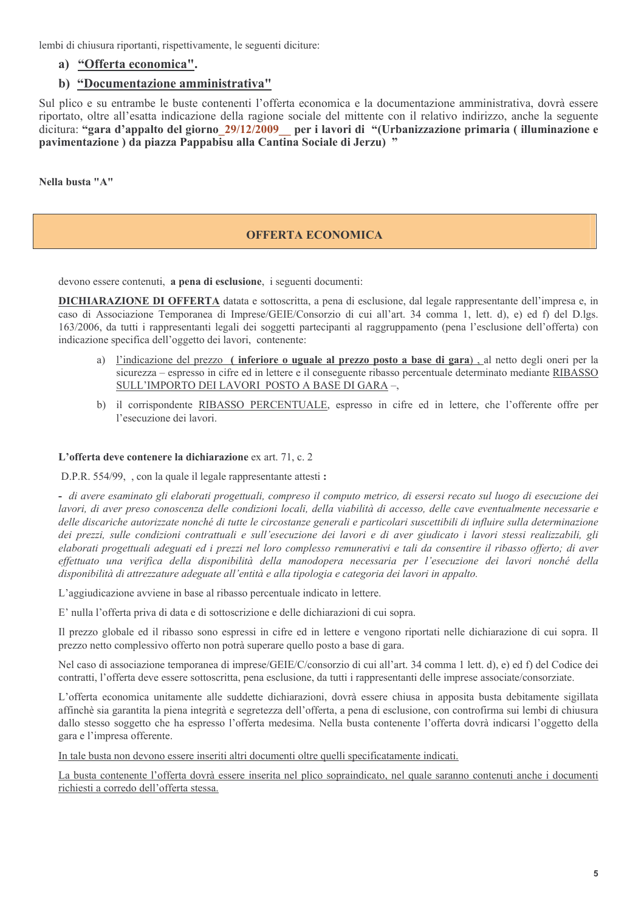lembi di chiusura riportanti, rispettivamente, le seguenti diciture:

#### a) "Offerta economica".

#### b) "Documentazione amministrativa"

Sul plico e su entrambe le buste contenenti l'offerta economica e la documentazione amministrativa, dovrà essere riportato, oltre all'esatta indicazione della ragione sociale del mittente con il relativo indirizzo, anche la seguente dicitura: "gara d'appalto del giorno 29/12/2009 per i lavori di "(Urbanizzazione primaria (illuminazione e pavimentazione) da piazza Pappabisu alla Cantina Sociale di Jerzu) "

Nella busta "A"

#### **OFFERTA ECONOMICA**

devono essere contenuti, a pena di esclusione, i seguenti documenti:

**DICHIARAZIONE DI OFFERTA** datata e sottoscritta, a pena di esclusione, dal legale rappresentante dell'impresa e, in caso di Associazione Temporanea di Imprese/GEIE/Consorzio di cui all'art. 34 comma 1, lett. d), e) ed f) del D.lgs. 163/2006, da tutti i rappresentanti legali dei soggetti partecipanti al raggruppamento (pena l'esclusione dell'offerta) con indicazione specifica dell'oggetto dei lavori, contenente:

- a) l'indicazione del prezzo (inferiore o uguale al prezzo posto a base di gara), al netto degli oneri per la sicurezza – espresso in cifre ed in lettere e il conseguente ribasso percentuale determinato mediante RIBASSO SULL'IMPORTO DEI LAVORI POSTO A BASE DI GARA-,
- b) il corrispondente RIBASSO PERCENTUALE, espresso in cifre ed in lettere, che l'offerente offre per l'esecuzione dei lavori.

#### L'offerta deve contenere la dichiarazione ex art. 71, c. 2

D.P.R. 554/99, , con la quale il legale rappresentante attesti :

- di avere esaminato gli elaborati progettuali, compreso il computo metrico, di essersi recato sul luogo di esecuzione dei lavori, di aver preso conoscenza delle condizioni locali, della viabilità di accesso, delle cave eventualmente necessarie e delle discariche autorizzate nonché di tutte le circostanze generali e particolari suscettibili di influire sulla determinazione dei prezzi, sulle condizioni contrattuali e sull'esecuzione dei lavori e di aver giudicato i lavori stessi realizzabili, gli elaborati progettuali adeguati ed i prezzi nel loro complesso remunerativi e tali da consentire il ribasso offerto; di aver effettuato una verifica della disponibilità della manodopera necessaria per l'esecuzione dei lavori nonché della disponibilità di attrezzature adeguate all'entità e alla tipologia e categoria dei lavori in appalto.

L'aggiudicazione avviene in base al ribasso percentuale indicato in lettere.

E' nulla l'offerta priva di data e di sottoscrizione e delle dichiarazioni di cui sopra.

Il prezzo globale ed il ribasso sono espressi in cifre ed in lettere e vengono riportati nelle dichiarazione di cui sopra. Il prezzo netto complessivo offerto non potrà superare quello posto a base di gara.

Nel caso di associazione temporanea di imprese/GEIE/C/consorzio di cui all'art. 34 comma 1 lett. d), e) ed f) del Codice dei contratti, l'offerta deve essere sottoscritta, pena esclusione, da tutti i rappresentanti delle imprese associate/consorziate.

L'offerta economica unitamente alle suddette dichiarazioni, dovrà essere chiusa in apposita busta debitamente sigillata affinchè sia garantita la piena integrità e segretezza dell'offerta, a pena di esclusione, con controfirma sui lembi di chiusura dallo stesso soggetto che ha espresso l'offerta medesima. Nella busta contenente l'offerta dovrà indicarsi l'oggetto della gara e l'impresa offerente.

In tale busta non devono essere inseriti altri documenti oltre quelli specificatamente indicati.

La busta contenente l'offerta dovrà essere inserita nel plico sopraindicato, nel quale saranno contenuti anche i documenti richiesti a corredo dell'offerta stessa.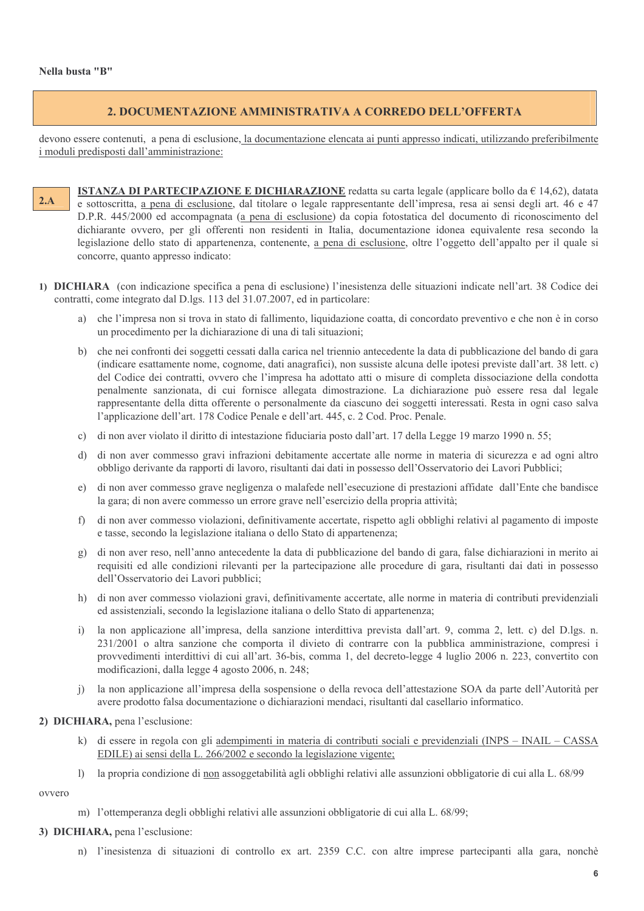#### 2. DOCUMENTAZIONE AMMINISTRATIVA A CORREDO DELL'OFFERTA

devono essere contenuti, a pena di esclusione, la documentazione elencata ai punti appresso indicati, utilizzando preferibilmente i moduli predisposti dall'amministrazione:

- **ISTANZA DI PARTECIPAZIONE E DICHIARAZIONE** redatta su carta legale (applicare bollo da  $\in$  14,62), datata  $2.A$ e sottoscritta, a pena di esclusione, dal titolare o legale rappresentante dell'impresa, resa ai sensi degli art. 46 e 47 D.P.R. 445/2000 ed accompagnata (a pena di esclusione) da copia fotostatica del documento di riconoscimento del dichiarante ovvero, per gli offerenti non residenti in Italia, documentazione idonea equivalente resa secondo la legislazione dello stato di appartenenza, contenente, a pena di esclusione, oltre l'oggetto dell'appalto per il quale si concorre, quanto appresso indicato:
- 1) DICHIARA (con indicazione specifica a pena di esclusione) l'inesistenza delle situazioni indicate nell'art. 38 Codice dei contratti, come integrato dal D.lgs. 113 del 31.07.2007, ed in particolare:
	- a) che l'impresa non si trova in stato di fallimento, liquidazione coatta, di concordato preventivo e che non è in corso un procedimento per la dichiarazione di una di tali situazioni:
	- b) che nei confronti dei soggetti cessati dalla carica nel triennio antecedente la data di pubblicazione del bando di gara (indicare esattamente nome, cognome, dati anagrafici), non sussiste alcuna delle ipotesi previste dall'art. 38 lett. c) del Codice dei contratti, ovvero che l'impresa ha adottato atti o misure di completa dissociazione della condotta penalmente sanzionata, di cui fornisce allegata dimostrazione. La dichiarazione può essere resa dal legale rappresentante della ditta offerente o personalmente da ciascuno dei soggetti interessati. Resta in ogni caso salva l'applicazione dell'art. 178 Codice Penale e dell'art. 445, c. 2 Cod. Proc. Penale.
	- c) di non aver violato il diritto di intestazione fiduciaria posto dall'art. 17 della Legge 19 marzo 1990 n. 55;
	- d) di non aver commesso gravi infrazioni debitamente accertate alle norme in materia di sicurezza e ad ogni altro obbligo derivante da rapporti di lavoro, risultanti dai dati in possesso dell'Osservatorio dei Lavori Pubblici;
	- e) di non aver commesso grave negligenza o malafede nell'esecuzione di prestazioni affidate dall'Ente che bandisce la gara; di non avere commesso un errore grave nell'esercizio della propria attività;
	- di non aver commesso violazioni, definitivamente accertate, rispetto agli obblighi relativi al pagamento di imposte  $f$ e tasse, secondo la legislazione italiana o dello Stato di appartenenza;
	- g) di non aver reso, nell'anno antecedente la data di pubblicazione del bando di gara, false dichiarazioni in merito ai requisiti ed alle condizioni rilevanti per la partecipazione alle procedure di gara, risultanti dai dati in possesso dell'Osservatorio dei Lavori pubblici;
	- h) di non aver commesso violazioni gravi, definitivamente accertate, alle norme in materia di contributi previdenziali ed assistenziali, secondo la legislazione italiana o dello Stato di appartenenza;
	- i) la non applicazione all'impresa, della sanzione interdittiva prevista dall'art. 9, comma 2, lett. c) del D.lgs. n. 231/2001 o altra sanzione che comporta il divieto di contrarre con la pubblica amministrazione, compresi i provvedimenti interdittivi di cui all'art. 36-bis, comma 1, del decreto-legge 4 luglio 2006 n. 223, convertito con modificazioni, dalla legge 4 agosto 2006, n. 248;
	- j) la non applicazione all'impresa della sospensione o della revoca dell'attestazione SOA da parte dell'Autorità per avere prodotto falsa documentazione o dichiarazioni mendaci, risultanti dal casellario informatico.
- 2) DICHIARA, pena l'esclusione:
	- k) di essere in regola con gli adempimenti in materia di contributi sociali e previdenziali (INPS INAIL CASSA EDILE) ai sensi della L. 266/2002 e secondo la legislazione vigente;
	- la propria condizione di non assoggetabilità agli obblighi relativi alle assunzioni obbligatorie di cui alla L. 68/99  $\left| \right\rangle$

ovvero

m) l'ottemperanza degli obblighi relativi alle assunzioni obbligatorie di cui alla L. 68/99;

#### 3) DICHIARA, pena l'esclusione:

n) l'inesistenza di situazioni di controllo ex art. 2359 C.C. con altre imprese partecipanti alla gara, nonchè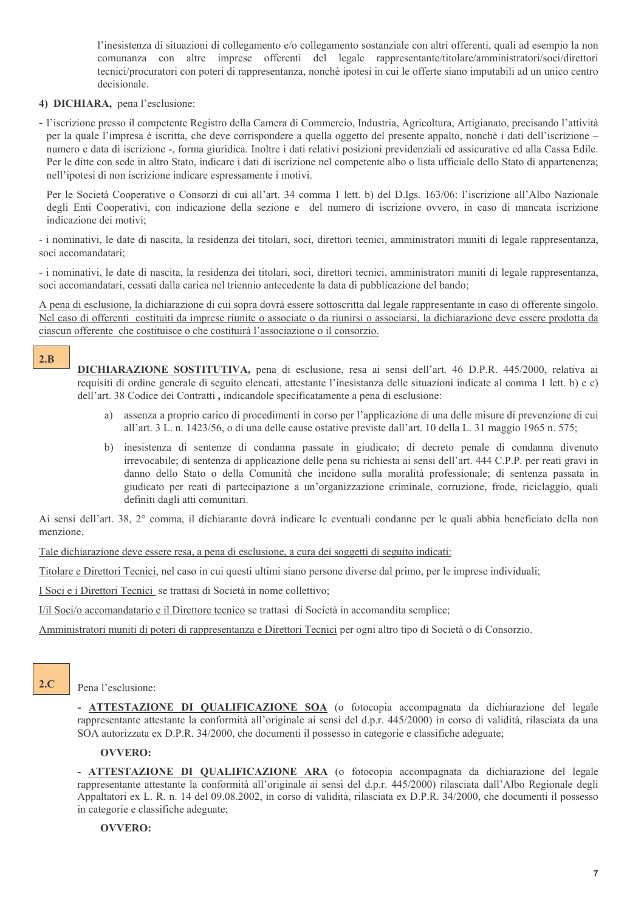l'inesistenza di situazioni di collegamento e/o collegamento sostanziale con altri offerenti, quali ad esempio la non comunanza con altre imprese offerenti del legale rappresentante/titolare/amministratori/soci/direttori tecnici/procuratori con poteri di rappresentanza, nonchè ipotesi in cui le offerte siano imputabili ad un unico centro decisionale.

#### 4) DICHIARA, pena l'esclusione:

- l'iscrizione presso il competente Registro della Camera di Commercio, Industria, Agricoltura, Artigianato, precisando l'attività per la quale l'impresa è iscritta, che deve corrispondere a quella oggetto del presente appalto, nonchè i dati dell'iscrizione numero e data di iscrizione -, forma giuridica. Inoltre i dati relativi posizioni previdenziali ed assicurative ed alla Cassa Edile. Per le ditte con sede in altro Stato, indicare i dati di iscrizione nel competente albo o lista ufficiale dello Stato di appartenenza; nell'ipotesi di non iscrizione indicare espressamente i motivi.

Per le Società Cooperative o Consorzi di cui all'art. 34 comma 1 lett. b) del D.lgs. 163/06: l'iscrizione all'Albo Nazionale degli Enti Cooperativi, con indicazione della sezione e del numero di iscrizione ovvero, in caso di mancata iscrizione indicazione dei motivi;

- i nominativi, le date di nascita, la residenza dei titolari, soci, direttori tecnici, amministratori muniti di legale rappresentanza, soci accomandatari:

- i nominativi, le date di nascita, la residenza dei titolari, soci, direttori tecnici, amministratori muniti di legale rappresentanza, soci accomandatari, cessati dalla carica nel triennio antecedente la data di pubblicazione del bando;

A pena di esclusione, la dichiarazione di cui sopra dovrà essere sottoscritta dal legale rappresentante in caso di offerente singolo. Nel caso di offerenti costituiti da imprese riunite o associate o da riunirsi o associarsi, la dichiarazione deve essere prodotta da ciascun offerente che costituisce o che costituirà l'associazione o il consorzio.

#### $2.B$

DICHIARAZIONE SOSTITUTIVA, pena di esclusione, resa ai sensi dell'art. 46 D.P.R. 445/2000, relativa ai requisiti di ordine generale di seguito elencati, attestante l'inesistanza delle situazioni indicate al comma 1 lett. b) e c) dell'art. 38 Codice dei Contratti, indicandole specificatamente a pena di esclusione:

- a) assenza a proprio carico di procedimenti in corso per l'applicazione di una delle misure di prevenzione di cui all'art. 3 L. n. 1423/56, o di una delle cause ostative previste dall'art. 10 della L. 31 maggio 1965 n. 575;
- b) inesistenza di sentenze di condanna passate in giudicato; di decreto penale di condanna divenuto irrevocabile; di sentenza di applicazione delle pena su richiesta ai sensi dell'art. 444 C.P.P. per reati gravi in danno dello Stato o della Comunità che incidono sulla moralità professionale: di sentenza passata in giudicato per reati di partecipazione a un'organizzazione criminale, corruzione, frode, riciclaggio, quali definiti dagli atti comunitari.

Ai sensi dell'art. 38, 2° comma, il dichiarante dovrà indicare le eventuali condanne per le quali abbia beneficiato della non menzione

Tale dichiarazione deve essere resa, a pena di esclusione, a cura dei soggetti di seguito indicati:

Titolare e Direttori Tecnici, nel caso in cui questi ultimi siano persone diverse dal primo, per le imprese individuali;

I Soci e i Direttori Tecnici se trattasi di Società in nome collettivo;

I/il Soci/o accomandatario e il Direttore tecnico se trattasi di Società in accomandita semplice;

Amministratori muniti di poteri di rappresentanza e Direttori Tecnici per ogni altro tipo di Società o di Consorzio.

#### $2.C$

#### Pena l'esclusione:

- ATTESTAZIONE DI OUALIFICAZIONE SOA (o fotocopia accompagnata da dichiarazione del legale rappresentante attestante la conformità all'originale ai sensi del d.p.r. 445/2000) in corso di validità, rilasciata da una SOA autorizzata ex D.P.R. 34/2000, che documenti il possesso in categorie e classifiche adeguate;

#### **OVVERO:**

- ATTESTAZIONE DI QUALIFICAZIONE ARA (o fotocopia accompagnata da dichiarazione del legale rappresentante attestante la conformità all'originale ai sensi del d.p.r. 445/2000) rilasciata dall'Albo Regionale degli Appaltatori ex L. R. n. 14 del 09.08.2002, in corso di validità, rilasciata ex D.P.R. 34/2000, che documenti il possesso in categorie e classifiche adeguate;

#### **OVVERO:**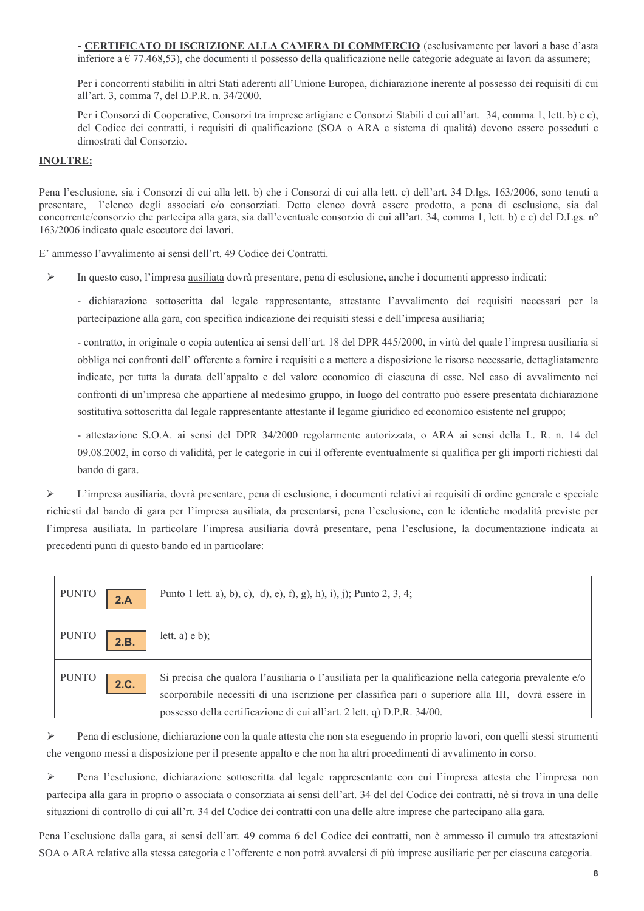- CERTIFICATO DI ISCRIZIONE ALLA CAMERA DI COMMERCIO (esclusivamente per lavori a base d'asta inferiore a  $\in$  77.468,53), che documenti il possesso della qualificazione nelle categorie adeguate ai lavori da assumere;

Per i concorrenti stabiliti in altri Stati aderenti all'Unione Europea, dichiarazione inerente al possesso dei requisiti di cui all'art. 3, comma 7, del D.P.R. n. 34/2000.

Per i Consorzi di Cooperative. Consorzi tra imprese artigiane e Consorzi Stabili d cui all'art. 34, comma 1, lett. b) e c). del Codice dei contratti, i requisiti di qualificazione (SOA o ARA e sistema di qualità) devono essere posseduti e dimostrati dal Consorzio

#### **INOLTRE:**

Pena l'esclusione, sia i Consorzi di cui alla lett. b) che i Consorzi di cui alla lett. c) dell'art. 34 D.lgs. 163/2006, sono tenuti a presentare, l'elenco degli associati e/o consorziati. Detto elenco dovrà essere prodotto, a pena di esclusione, sia dal concorrente/consorzio che partecipa alla gara, sia dall'eventuale consorzio di cui all'art. 34, comma 1, lett. b) e c) del D.Lgs. n° 163/2006 indicato quale esecutore dei lavori.

E' ammesso l'avvalimento ai sensi dell'rt. 49 Codice dei Contratti.

 $\blacktriangleright$ In questo caso, l'impresa ausiliata dovrà presentare, pena di esclusione, anche i documenti appresso indicati:

- dichiarazione sottoscritta dal legale rappresentante, attestante l'avvalimento dei requisiti necessari per la partecipazione alla gara, con specifica indicazione dei requisiti stessi e dell'impresa ausiliaria;

- contratto, in originale o copia autentica ai sensi dell'art. 18 del DPR 445/2000, in virtù del quale l'impresa ausiliaria si obbliga nei confronti dell'offerente a fornire i requisiti e a mettere a disposizione le risorse necessarie, dettagliatamente indicate, per tutta la durata dell'appalto e del valore economico di ciascuna di esse. Nel caso di avvalimento nei confronti di un'impresa che appartiene al medesimo gruppo, in luogo del contratto può essere presentata dichiarazione sostitutiva sottoscritta dal legale rappresentante attestante il legame giuridico ed economico esistente nel gruppo;

- attestazione S.O.A. ai sensi del DPR 34/2000 regolarmente autorizzata, o ARA ai sensi della L. R. n. 14 del 09.08.2002, in corso di validità, per le categorie in cui il offerente eventualmente si qualifica per gli importi richiesti dal bando di gara.

 $\blacktriangleright$ L'impresa ausiliaria, dovrà presentare, pena di esclusione, i documenti relativi ai requisiti di ordine generale e speciale richiesti dal bando di gara per l'impresa ausiliata, da presentarsi, pena l'esclusione, con le identiche modalità previste per l'impresa ausiliata. In particolare l'impresa ausiliaria dovrà presentare, pena l'esclusione, la documentazione indicata ai precedenti punti di questo bando ed in particolare:

| <b>PUNTO</b> | 2.A  | Punto 1 lett. a), b), c), d), e), f), g), h), i), j); Punto 2, 3, 4;                                                                                                                                                                                                                   |
|--------------|------|----------------------------------------------------------------------------------------------------------------------------------------------------------------------------------------------------------------------------------------------------------------------------------------|
| <b>PUNTO</b> | 2.B. | lett. $a)$ e b);                                                                                                                                                                                                                                                                       |
| <b>PUNTO</b> | 2.C. | Si precisa che qualora l'ausiliaria o l'ausiliata per la qualificazione nella categoria prevalente e/o<br>scorporabile necessiti di una iscrizione per classifica pari o superiore alla III, dovrà essere in<br>possesso della certificazione di cui all'art. 2 lett. q) D.P.R. 34/00. |

 $\blacktriangleright$ Pena di esclusione, dichiarazione con la quale attesta che non sta eseguendo in proprio lavori, con quelli stessi strumenti che vengono messi a disposizione per il presente appalto e che non ha altri procedimenti di avvalimento in corso.

 $\blacktriangleright$ Pena l'esclusione, dichiarazione sottoscritta dal legale rappresentante con cui l'impresa attesta che l'impresa non partecipa alla gara in proprio o associata o consorziata ai sensi dell'art. 34 del del Codice dei contratti, nè si trova in una delle situazioni di controllo di cui all'rt. 34 del Codice dei contratti con una delle altre imprese che partecipano alla gara.

Pena l'esclusione dalla gara, ai sensi dell'art. 49 comma 6 del Codice dei contratti, non è ammesso il cumulo tra attestazioni SOA o ARA relative alla stessa categoria e l'offerente e non potrà avvalersi di più imprese ausiliarie per per ciascuna categoria.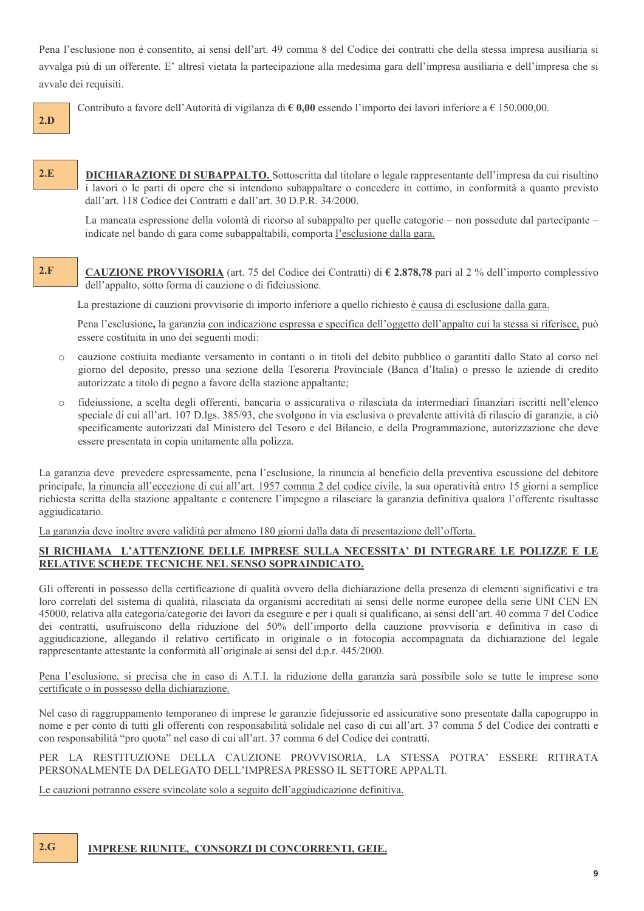Pena l'esclusione non è consentito, ai sensi dell'art. 49 comma 8 del Codice dei contratti che della stessa impresa ausiliaria si avvalga più di un offerente. E' altresì vietata la partecipazione alla medesima gara dell'impresa ausiliaria e dell'impresa che si avvale dei requisiti.

Contributo a favore dell'Autorità di vigilanza di  $\epsilon$  0,00 essendo l'importo dei lavori inferiore a  $\epsilon$  150.000,00.

 $2.D$ 

 $2.E$ **DICHIARAZIONE DI SUBAPPALTO.** Sottoscritta dal titolare o legale rappresentante dell'impresa da cui risultino i lavori o le parti di opere che si intendono subappaltare o concedere in cottimo, in conformità a quanto previsto dall'art. 118 Codice dei Contratti e dall'art. 30 D.P.R. 34/2000.

La mancata espressione della volontà di ricorso al subappalto per quelle categorie – non possedute dal partecipante – indicate nel bando di gara come subappaltabili, comporta l'esclusione dalla gara.

#### $2.F$ **CAUZIONE PROVVISORIA** (art. 75 del Codice dei Contratti) di  $\epsilon$  2.878,78 pari al 2 % dell'importo complessivo dell'appalto, sotto forma di cauzione o di fideiussione.

La prestazione di cauzioni provvisorie di importo inferiore a quello richiesto è causa di esclusione dalla gara.

Pena l'esclusione, la garanzia con indicazione espressa e specifica dell'oggetto dell'appalto cui la stessa si riferisce, può essere costituita in uno dei seguenti modi:

- cauzione costiuita mediante versamento in contanti o in titoli del debito pubblico o garantiti dallo Stato al corso nel  $\bigcap$ giorno del deposito, presso una sezione della Tesoreria Provinciale (Banca d'Italia) o presso le aziende di credito autorizzate a titolo di pegno a favore della stazione appaltante:
- fideiussione, a scelta degli offerenti, bancaria o assicurativa o rilasciata da intermediari finanziari iscritti nell'elenco  $\bigcap$ speciale di cui all'art. 107 D.lgs. 385/93, che svolgono in via esclusiva o prevalente attività di rilascio di garanzie, a ciò specificamente autorizzati dal Ministero del Tesoro e del Bilancio, e della Programmazione, autorizzazione che deve essere presentata in copia unitamente alla polizza.

La garanzia deve prevedere espressamente, pena l'esclusione, la rinuncia al beneficio della preventiva escussione del debitore principale, la rinuncia all'eccezione di cui all'art. 1957 comma 2 del codice civile, la sua operatività entro 15 giorni a semplice richiesta scritta della stazione appaltante e contenere l'impegno a rilasciare la garanzia definitiva qualora l'offerente risultasse aggiudicatario.

La garanzia deve inoltre avere validità per almeno 180 giorni dalla data di presentazione dell'offerta.

#### SI RICHIAMA L'ATTENZIONE DELLE IMPRESE SULLA NECESSITA' DI INTEGRARE LE POLIZZE E LE RELATIVE SCHEDE TECNICHE NEL SENSO SOPRAINDICATO.

Gli offerenti in possesso della certificazione di qualità ovvero della dichiarazione della presenza di elementi significativi e tra loro correlati del sistema di qualità, rilasciata da organismi accreditati ai sensi delle norme europee della serie UNI CEN EN 45000, relativa alla categoria/categorie dei lavori da eseguire e per i quali si qualificano, ai sensi dell'art. 40 comma 7 del Codice dei contratti, usufruiscono della riduzione del 50% dell'importo della cauzione provvisoria e definitiva in caso di aggiudicazione, allegando il relativo certificato in originale o in fotocopia accompagnata da dichiarazione del legale rappresentante attestante la conformità all'originale ai sensi del d.p.r. 445/2000.

Pena l'esclusione, si precisa che in caso di A.T.I. la riduzione della garanzia sarà possibile solo se tutte le imprese sono certificate o in possesso della dichiarazione.

Nel caso di raggruppamento temporaneo di imprese le garanzie fidejussorie ed assicurative sono presentate dalla capogruppo in nome e per conto di tutti gli offerenti con responsabilità solidale nel caso di cui all'art. 37 comma 5 del Codice dei contratti e con responsabilità "pro quota" nel caso di cui all'art. 37 comma 6 del Codice dei contratti.

PER LA RESTITUZIONE DELLA CAUZIONE PROVVISORIA, LA STESSA POTRA' ESSERE RITIRATA PERSONALMENTE DA DELEGATO DELL'IMPRESA PRESSO IL SETTORE APPALTI.

Le cauzioni potranno essere svincolate solo a seguito dell'aggiudicazione definitiva.

#### $2.G$ **IMPRESE RIUNITE. CONSORZI DI CONCORRENTI, GEIE.**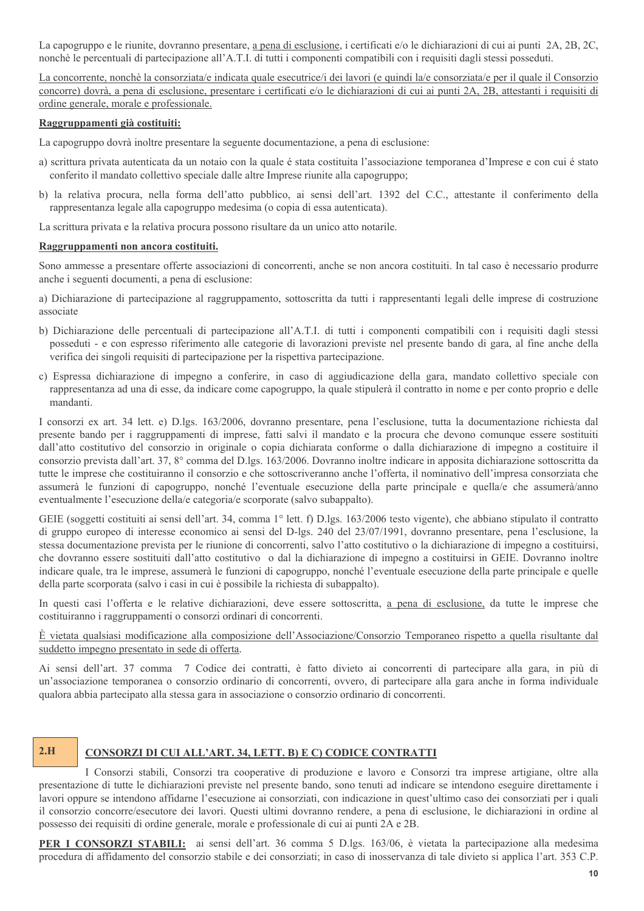La capogruppo e le riunite, dovranno presentare, a pena di esclusione, i certificati e/o le dichiarazioni di cui ai punti 2A, 2B, 2C, nonchè le percentuali di partecipazione all'A.T.I. di tutti i componenti compatibili con i requisiti dagli stessi posseduti.

La concorrente, nonchè la consorziata/e indicata quale esecutrice/i dei lavori (e quindi la/e consorziata/e per il quale il Consorzio concorre) dovrà, a pena di esclusione, presentare i certificati e/o le dichiarazioni di cui ai punti 2A, 2B, attestanti i requisiti di ordine generale, morale e professionale.

#### Raggruppamenti già costituiti:

La capogruppo dovrà inoltre presentare la seguente documentazione, a pena di esclusione:

- a) scrittura privata autenticata da un notaio con la quale é stata costituita l'associazione temporanea d'Imprese e con cui é stato conferito il mandato collettivo speciale dalle altre Imprese riunite alla capogruppo;
- b) la relativa procura, nella forma dell'atto pubblico, ai sensi dell'art. 1392 del C.C., attestante il conferimento della rappresentanza legale alla capogruppo medesima (o copia di essa autenticata).

La scrittura privata e la relativa procura possono risultare da un unico atto notarile.

#### Raggruppamenti non ancora costituiti.

Sono ammesse a presentare offerte associazioni di concorrenti, anche se non ancora costituiti. In tal caso è necessario produrre anche i seguenti documenti, a pena di esclusione:

a) Dichiarazione di partecipazione al raggruppamento, sottoscritta da tutti i rappresentanti legali delle imprese di costruzione associate

- b) Dichiarazione delle percentuali di partecipazione all'A.T.I. di tutti i componenti compatibili con i requisiti dagli stessi posseduti - e con espresso riferimento alle categorie di lavorazioni previste nel presente bando di gara, al fine anche della verifica dei singoli requisiti di partecipazione per la rispettiva partecipazione.
- c) Espressa dichiarazione di impegno a conferire, in caso di aggiudicazione della gara, mandato collettivo speciale con rappresentanza ad una di esse, da indicare come capogruppo, la quale stipulerà il contratto in nome e per conto proprio e delle mandanti.

I consorzi ex art. 34 lett. e) D.lgs. 163/2006, dovranno presentare, pena l'esclusione, tutta la documentazione richiesta dal presente bando per i raggruppamenti di imprese, fatti salvi il mandato e la procura che devono comunque essere sostituiti dall'atto costitutivo del consorzio in originale o copia dichiarata conforme o dalla dichiarazione di impegno a costituire il consorzio prevista dall'art. 37, 8° comma del D.lgs. 163/2006. Dovranno inoltre indicare in apposita dichiarazione sottoscritta da tutte le imprese che costituiranno il consorzio e che sottoscriveranno anche l'offerta, il nominativo dell'impresa consorziata che assumerà le funzioni di capogruppo, nonché l'eventuale esecuzione della parte principale e quella/e che assumerà/anno eventualmente l'esecuzione della/e categoria/e scorporate (salvo subappalto).

GEIE (soggetti costituiti ai sensi dell'art. 34, comma 1° lett. f) D.lgs. 163/2006 testo vigente), che abbiano stipulato il contratto di gruppo europeo di interesse economico ai sensi del D-lgs. 240 del 23/07/1991, dovranno presentare, pena l'esclusione, la stessa documentazione prevista per le riunione di concorrenti, salvo l'atto costitutivo o la dichiarazione di impegno a costituirsi, che dovranno essere sostituiti dall'atto costitutivo o dal la dichiarazione di impegno a costituirsi in GEIE. Dovranno inoltre indicare quale, tra le imprese, assumerà le funzioni di capogruppo, nonché l'eventuale esecuzione della parte principale e quelle della parte scorporata (salvo i casi in cui è possibile la richiesta di subappalto).

In questi casi l'offerta e le relative dichiarazioni, deve essere sottoscritta, a pena di esclusione, da tutte le imprese che costituiranno i raggruppamenti o consorzi ordinari di concorrenti.

#### È vietata qualsiasi modificazione alla composizione dell'Associazione/Consorzio Temporaneo rispetto a quella risultante dal suddetto impegno presentato in sede di offerta.

Ai sensi dell'art. 37 comma 7 Codice dei contratti, è fatto divieto ai concorrenti di partecipare alla gara, in più di un'associazione temporanea o consorzio ordinario di concorrenti, ovvero, di partecipare alla gara anche in forma individuale qualora abbia partecipato alla stessa gara in associazione o consorzio ordinario di concorrenti.

#### $2.H$

#### CONSORZI DI CUI ALL'ART. 34, LETT. B) E C) CODICE CONTRATTI

I Consorzi stabili, Consorzi tra cooperative di produzione e lavoro e Consorzi tra imprese artigiane, oltre alla presentazione di tutte le dichiarazioni previste nel presente bando, sono tenuti ad indicare se intendono eseguire direttamente i lavori oppure se intendono affidarne l'esecuzione ai consorziati, con indicazione in quest'ultimo caso dei consorziati per i quali il consorzio concorre/esecutore dei lavori. Questi ultimi dovranno rendere, a pena di esclusione, le dichiarazioni in ordine al possesso dei requisiti di ordine generale, morale e professionale di cui ai punti 2A e 2B.

**PER I CONSORZI STABILI:** ai sensi dell'art. 36 comma 5 D.lgs. 163/06, è vietata la partecipazione alla medesima procedura di affidamento del consorzio stabile e dei consorziati; in caso di inosservanza di tale divieto si applica l'art. 353 C.P.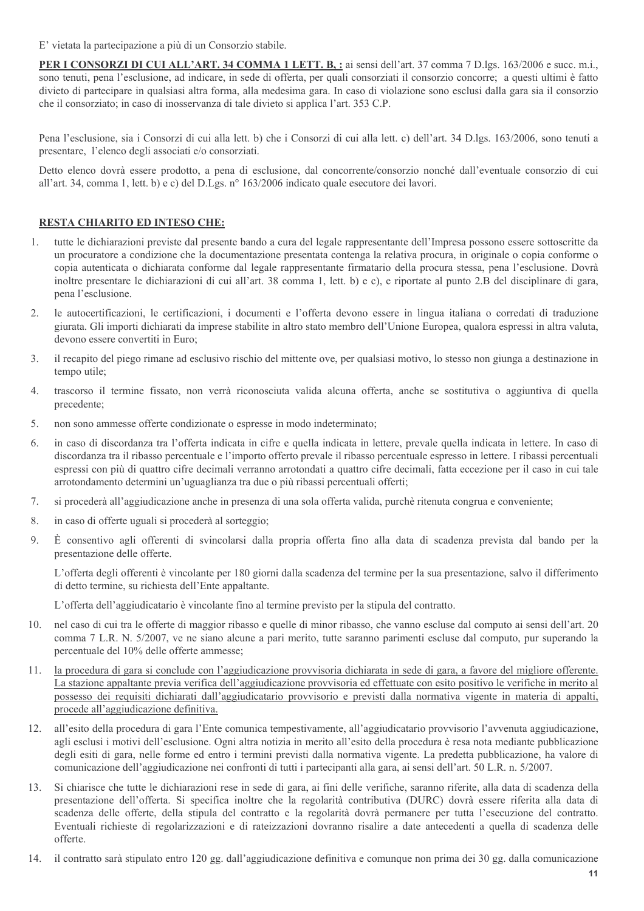E' vietata la partecipazione a più di un Consorzio stabile.

PER I CONSORZI DI CUI ALL'ART. 34 COMMA 1 LETT. B, : ai sensi dell'art. 37 comma 7 D.lgs. 163/2006 e succ. m.i., sono tenuti, pena l'esclusione, ad indicare, in sede di offerta, per quali consorziati il consorzio concorre; a questi ultimi è fatto divieto di partecipare in qualsiasi altra forma, alla medesima gara. In caso di violazione sono esclusi dalla gara sia il consorzio che il consorziato; in caso di inosservanza di tale divieto si applica l'art. 353 C.P.

Pena l'esclusione, sia i Consorzi di cui alla lett. b) che i Consorzi di cui alla lett. c) dell'art. 34 D.lgs. 163/2006, sono tenuti a presentare, l'elenco degli associati e/o consorziati.

Detto elenco dovrà essere prodotto, a pena di esclusione, dal concorrente/consorzio nonché dall'eventuale consorzio di cui all'art. 34, comma 1, lett. b) e c) del D.Lgs. nº 163/2006 indicato quale esecutore dei lavori.

#### RESTA CHIARITO ED INTESO CHE:

- tutte le dichiarazioni previste dal presente bando a cura del legale rappresentante dell'Impresa possono essere sottoscritte da 1. un procuratore a condizione che la documentazione presentata contenga la relativa procura, in originale o copia conforme o copia autenticata o dichiarata conforme dal legale rappresentante firmatario della procura stessa, pena l'esclusione. Dovrà inoltre presentare le dichiarazioni di cui all'art. 38 comma 1, lett. b) e c), e riportate al punto 2.B del disciplinare di gara, pena l'esclusione.
- le autocertificazioni, le certificazioni, i documenti e l'offerta devono essere in lingua italiana o corredati di traduzione  $2.$ giurata. Gli importi dichiarati da imprese stabilite in altro stato membro dell'Unione Europea, qualora espressi in altra valuta, devono essere convertiti in Euro;
- $\mathcal{E}$ il recapito del piego rimane ad esclusivo rischio del mittente ove, per qualsiasi motivo, lo stesso non giunga a destinazione in tempo utile;
- $4.$ trascorso il termine fissato, non verrà riconosciuta valida alcuna offerta, anche se sostitutiva o aggiuntiva di quella precedente;
- $5<sub>1</sub>$ non sono ammesse offerte condizionate o espresse in modo indeterminato;
- in caso di discordanza tra l'offerta indicata in cifre e quella indicata in lettere, prevale quella indicata in lettere. In caso di 6 discordanza tra il ribasso percentuale e l'importo offerto prevale il ribasso percentuale espresso in lettere. I ribassi percentuali espressi con più di quattro cifre decimali verranno arrotondati a quattro cifre decimali, fatta eccezione per il caso in cui tale arrotondamento determini un'uguaglianza tra due o più ribassi percentuali offerti;
- $7.$ si procederà all'aggiudicazione anche in presenza di una sola offerta valida, purchè ritenuta congrua e conveniente;
- 8. in caso di offerte uguali si procederà al sorteggio;
- $9<sub>1</sub>$ È consentivo agli offerenti di svincolarsi dalla propria offerta fino alla data di scadenza prevista dal bando per la presentazione delle offerte.

L'offerta degli offerenti è vincolante per 180 giorni dalla scadenza del termine per la sua presentazione, salvo il differimento di detto termine, su richiesta dell'Ente appaltante.

L'offerta dell'aggiudicatario è vincolante fino al termine previsto per la stipula del contratto.

- 10. nel caso di cui tra le offerte di maggior ribasso e quelle di minor ribasso, che vanno escluse dal computo ai sensi dell'art. 20 comma 7 L.R. N. 5/2007, ve ne siano alcune a pari merito, tutte saranno parimenti escluse dal computo, pur superando la percentuale del 10% delle offerte ammesse;
- la procedura di gara si conclude con l'aggiudicazione provvisoria dichiarata in sede di gara, a favore del migliore offerente.  $11.$ La stazione appaltante previa verifica dell'aggiudicazione provvisoria ed effettuate con esito positivo le verifiche in merito al possesso dei requisiti dichiarati dall'aggiudicatario provvisorio e previsti dalla normativa vigente in materia di appalti, procede all'aggiudicazione definitiva.
- all'esito della procedura di gara l'Ente comunica tempestivamente, all'aggiudicatario provvisorio l'avvenuta aggiudicazione, 12. agli esclusi i motivi dell'esclusione. Ogni altra notizia in merito all'esito della procedura è resa nota mediante pubblicazione degli esiti di gara, nelle forme ed entro i termini previsti dalla normativa vigente. La predetta pubblicazione, ha valore di comunicazione dell'aggiudicazione nei confronti di tutti i partecipanti alla gara, ai sensi dell'art. 50 L.R. n. 5/2007.
- Si chiarisce che tutte le dichiarazioni rese in sede di gara, ai fini delle verifiche, saranno riferite, alla data di scadenza della 13. presentazione dell'offerta. Si specifica inoltre che la regolarità contributiva (DURC) dovrà essere riferita alla data di scadenza delle offerte, della stipula del contratto e la regolarità dovrà permanere per tutta l'esecuzione del contratto. Eventuali richieste di regolarizzazioni e di rateizzazioni dovranno risalire a date antecedenti a quella di scadenza delle offerte.
- 14. il contratto sarà stipulato entro 120 gg. dall'aggiudicazione definitiva e comunque non prima dei 30 gg. dalla comunicazione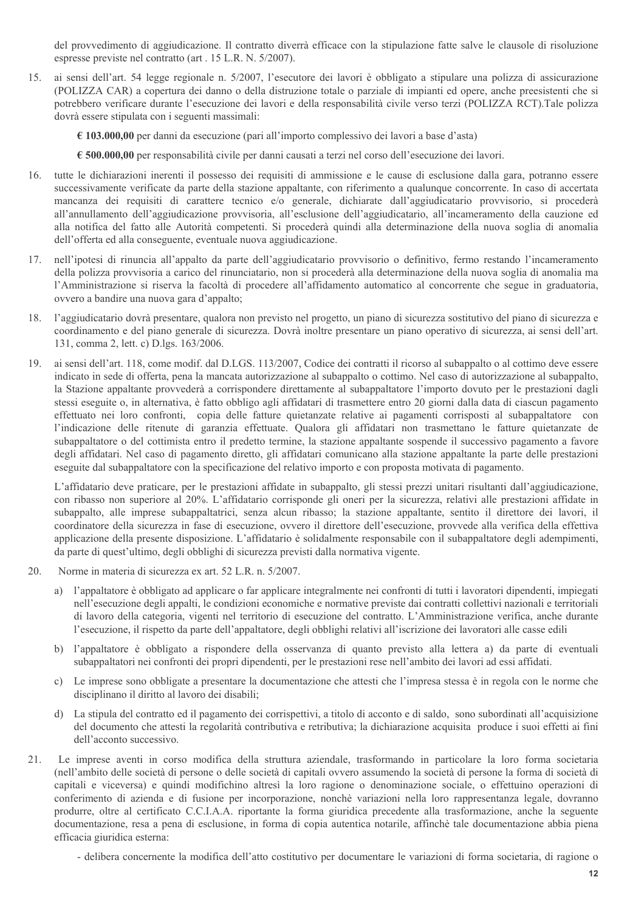del provvedimento di aggiudicazione. Il contratto diverrà efficace con la stipulazione fatte salve le clausole di risoluzione espresse previste nel contratto (art. 15 L.R. N. 5/2007).

ai sensi dell'art. 54 legge regionale n. 5/2007, l'esecutore dei lavori è obbligato a stipulare una polizza di assicurazione 15. (POLIZZA CAR) a copertura dei danno o della distruzione totale o parziale di impianti ed opere, anche preesistenti che si potrebbero verificare durante l'esecuzione dei lavori e della responsabilità civile verso terzi (POLIZZA RCT).Tale polizza dovrà essere stipulata con i seguenti massimali:

€ 103.000,00 per danni da esecuzione (pari all'importo complessivo dei lavori a base d'asta)

 $\epsilon$  500.000,00 per responsabilità civile per danni causati a terzi nel corso dell'esecuzione dei lavori.

- tutte le dichiarazioni inerenti il possesso dei requisiti di ammissione e le cause di esclusione dalla gara, potranno essere 16. successivamente verificate da parte della stazione appaltante, con riferimento a qualunque concorrente. In caso di accertata mancanza dei requisiti di carattere tecnico e/o generale, dichiarate dall'aggiudicatario provvisorio, si procederà all'annullamento dell'aggiudicazione provvisoria, all'esclusione dell'aggiudicatario, all'incameramento della cauzione ed alla notifica del fatto alle Autorità competenti. Si procederà quindi alla determinazione della nuova soglia di anomalia dell'offerta ed alla conseguente, eventuale nuova aggiudicazione.
- nell'ipotesi di rinuncia all'appalto da parte dell'aggiudicatario provvisorio o definitivo, fermo restando l'incameramento  $17<sub>1</sub>$ della polizza provvisoria a carico del rinunciatario, non si procederà alla determinazione della nuova soglia di anomalia ma l'Amministrazione si riserva la facoltà di procedere all'affidamento automatico al concorrente che segue in graduatoria, ovvero a bandire una nuova gara d'appalto;
- l'aggiudicatario dovrà presentare, qualora non previsto nel progetto, un piano di sicurezza sostitutivo del piano di sicurezza e 18. coordinamento e del piano generale di sicurezza. Dovrà inoltre presentare un piano operativo di sicurezza, ai sensi dell'art. 131, comma 2, lett. c) D.lgs. 163/2006.
- ai sensi dell'art. 118, come modif, dal D.LGS, 113/2007, Codice dei contratti il ricorso al subappalto o al cottimo deve essere  $19<sub>1</sub>$ indicato in sede di offerta, pena la mancata autorizzazione al subappalto o cottimo. Nel caso di autorizzazione al subappalto, la Stazione appaltante provvederà a corrispondere direttamente al subappaltatore l'importo dovuto per le prestazioni dagli stessi eseguite o, in alternativa, è fatto obbligo agli affidatari di trasmettere entro 20 giorni dalla data di ciascun pagamento effettuato nei loro confronti, copia delle fatture quietanzate relative ai pagamenti corrisposti al subappaltatore con l'indicazione delle ritenute di garanzia effettuate. Qualora gli affidatari non trasmettano le fatture quietanzate de subappaltatore o del cottimista entro il predetto termine, la stazione appaltante sospende il successivo pagamento a favore degli affidatari. Nel caso di pagamento diretto, gli affidatari comunicano alla stazione appaltante la parte delle prestazioni eseguite dal subappaltatore con la specificazione del relativo importo e con proposta motivata di pagamento.

L'affidatario deve praticare, per le prestazioni affidate in subappalto, gli stessi prezzi unitari risultanti dall'aggiudicazione, con ribasso non superiore al 20%. L'affidatario corrisponde gli oneri per la sicurezza, relativi alle prestazioni affidate in subappalto, alle imprese subappaltatrici, senza alcun ribasso; la stazione appaltante, sentito il direttore dei lavori, il coordinatore della sicurezza in fase di esecuzione, ovvero il direttore dell'esecuzione, provvede alla verifica della effettiva applicazione della presente disposizione. L'affidatario è solidalmente responsabile con il subappaltatore degli adempimenti, da parte di quest'ultimo, degli obblighi di sicurezza previsti dalla normativa vigente.

- 20 Norme in materia di sicurezza ex art. 52 L.R. n. 5/2007.
	- a) l'appaltatore è obbligato ad applicare o far applicare integralmente nei confronti di tutti i lavoratori dipendenti, impiegati nell'esecuzione degli appalti, le condizioni economiche e normative previste dai contratti collettivi nazionali e territoriali di lavoro della categoria, vigenti nel territorio di esecuzione del contratto. L'Amministrazione verifica, anche durante l'esecuzione, il rispetto da parte dell'appaltatore, degli obblighi relativi all'iscrizione dei lavoratori alle casse edili
	- b) l'appaltatore è obbligato a rispondere della osservanza di quanto previsto alla lettera a) da parte di eventuali subappaltatori nei confronti dei propri dipendenti, per le prestazioni rese nell'ambito dei lavori ad essi affidati.
	- c) Le imprese sono obbligate a presentare la documentazione che attesti che l'impresa stessa è in regola con le norme che disciplinano il diritto al lavoro dei disabili:
	- d) La stipula del contratto ed il pagamento dei corrispettivi, a titolo di acconto e di saldo, sono subordinati all'acquisizione del documento che attesti la regolarità contributiva e retributiva; la dichiarazione acquisita produce i suoi effetti ai fini dell'acconto successivo.
- Le imprese aventi in corso modifica della struttura aziendale, trasformando in particolare la loro forma societaria  $21$ (nell'ambito delle società di persone o delle società di capitali ovvero assumendo la società di persone la forma di società di capitali e viceversa) e quindi modifichino altresì la loro ragione o denominazione sociale, o effettuino operazioni di conferimento di azienda e di fusione per incorporazione, nonchè variazioni nella loro rappresentanza legale, dovranno produrre, oltre al certificato C.C.I.A.A. riportante la forma giuridica precedente alla trasformazione, anche la seguente documentazione, resa a pena di esclusione, in forma di copia autentica notarile, affinchè tale documentazione abbia piena efficacia giuridica esterna:

- delibera concernente la modifica dell'atto costitutivo per documentare le variazioni di forma societaria, di ragione o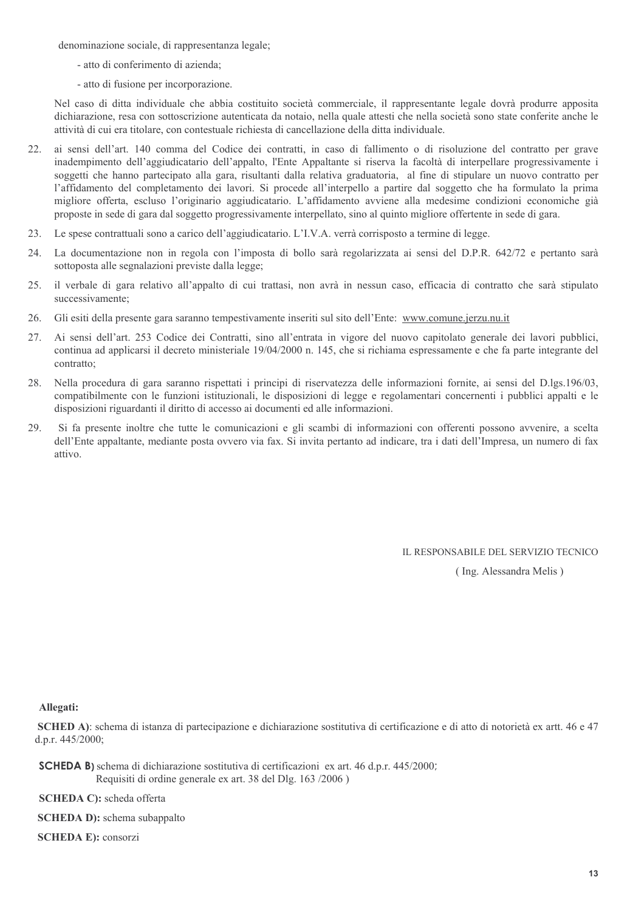denominazione sociale, di rappresentanza legale;

- atto di conferimento di azienda;
- atto di fusione per incorporazione.

Nel caso di ditta individuale che abbia costituito società commerciale, il rappresentante legale dovrà produrre apposita dichiarazione, resa con sottoscrizione autenticata da notaio, nella quale attesti che nella società sono state conferite anche le attività di cui era titolare, con contestuale richiesta di cancellazione della ditta individuale.

- ai sensi dell'art. 140 comma del Codice dei contratti, in caso di fallimento o di risoluzione del contratto per grave  $22$ inadempimento dell'aggiudicatario dell'appalto, l'Ente Appaltante si riserva la facoltà di interpellare progressivamente i soggetti che hanno partecipato alla gara, risultanti dalla relativa graduatoria, al fine di stipulare un nuovo contratto per l'affidamento del completamento dei lavori. Si procede all'interpello a partire dal soggetto che ha formulato la prima migliore offerta, escluso l'originario aggiudicatario. L'affidamento avviene alla medesime condizioni economiche già proposte in sede di gara dal soggetto progressivamente interpellato, sino al quinto migliore offertente in sede di gara.
- Le spese contrattuali sono a carico dell'aggiudicatario. L'I.V.A. verrà corrisposto a termine di legge. 23.
- La documentazione non in regola con l'imposta di bollo sarà regolarizzata ai sensi del D.P.R. 642/72 e pertanto sarà 24. sottoposta alle segnalazioni previste dalla legge;
- il verbale di gara relativo all'appalto di cui trattasi, non avrà in nessun caso, efficacia di contratto che sarà stipulato 25. successivamente:
- Gli esiti della presente gara saranno tempestivamente inseriti sul sito dell'Ente: www.comune.jerzu.nu.it 26.
- Ai sensi dell'art. 253 Codice dei Contratti, sino all'entrata in vigore del nuovo capitolato generale dei lavori pubblici, 27. continua ad applicarsi il decreto ministeriale 19/04/2000 n. 145, che si richiama espressamente e che fa parte integrante del contratto:
- Nella procedura di gara saranno rispettati i principi di riservatezza delle informazioni fornite, ai sensi del D.lgs.196/03, 28. compatibilmente con le funzioni istituzionali, le disposizioni di legge e regolamentari concernenti i pubblici appalti e le disposizioni riguardanti il diritto di accesso ai documenti ed alle informazioni.
- Si fa presente inoltre che tutte le comunicazioni e gli scambi di informazioni con offerenti possono avvenire, a scelta 29. dell'Ente appaltante, mediante posta ovvero via fax. Si invita pertanto ad indicare, tra i dati dell'Impresa, un numero di fax attivo.

IL RESPONSABILE DEL SERVIZIO TECNICO

(Ing. Alessandra Melis)

Allegati:

SCHED A): schema di istanza di partecipazione e dichiarazione sostitutiva di certificazione e di atto di notorietà ex artt. 46 e 47 d.p.r.  $445/2000$ ;

**SCHEDA B**) schema di dichiarazione sostitutiva di certificazioni ex art. 46 d.p.r. 445/2000; Requisiti di ordine generale ex art. 38 del Dlg. 163/2006)

**SCHEDA C)**: scheda offerta

**SCHEDA D):** schema subappalto

**SCHEDA E:** consorzi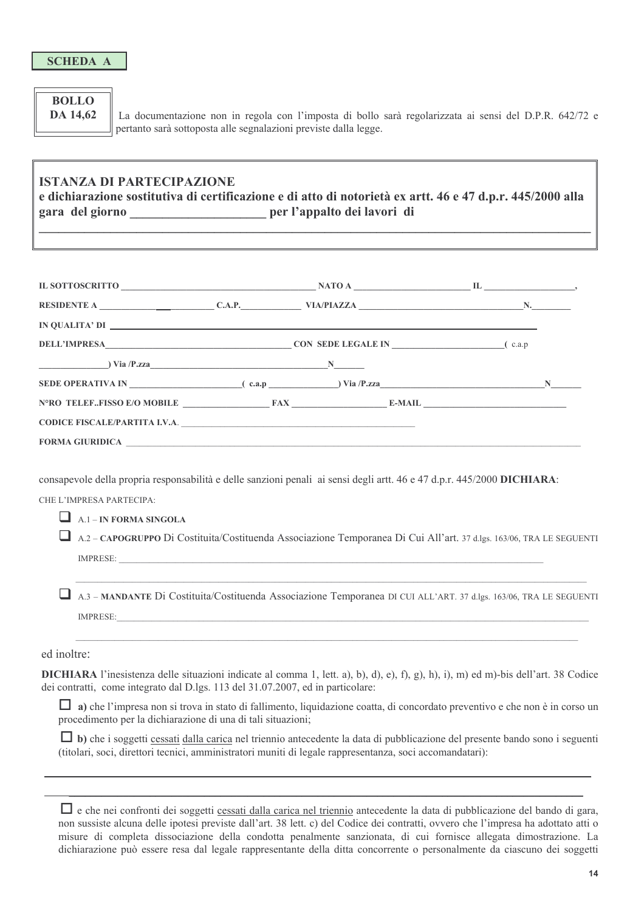#### **BOLLO** DA 14.62

La documentazione non in regola con l'imposta di bollo sarà regolarizzata ai sensi del D.P.R. 642/72 e pertanto sarà sottoposta alle segnalazioni previste dalla legge.

### **ISTANZA DI PARTECIPAZIONE**

e dichiarazione sostitutiva di certificazione e di atto di notorietà ex artt. 46 e 47 d.p.r. 445/2000 alla gara del giorno \_\_\_\_\_\_\_\_\_\_\_\_\_\_\_\_\_\_\_\_\_\_\_ per l'appalto dei lavori di

| IN QUALITA' DI                                                                                                                                                                                                                                                                                                                        |  |  |  |
|---------------------------------------------------------------------------------------------------------------------------------------------------------------------------------------------------------------------------------------------------------------------------------------------------------------------------------------|--|--|--|
| <b>DELL'IMPRESA</b> (c.a.p) CON SEDE LEGALE IN (c.a.p)                                                                                                                                                                                                                                                                                |  |  |  |
| $\sum_{i=1}^{\infty}$ $\sum_{i=1}^{\infty}$ $\sum_{i=1}^{\infty}$ $\sum_{i=1}^{\infty}$ $\sum_{i=1}^{\infty}$ $\sum_{i=1}^{\infty}$ $\sum_{i=1}^{\infty}$ $\sum_{i=1}^{\infty}$ $\sum_{i=1}^{\infty}$ $\sum_{i=1}^{\infty}$ $\sum_{i=1}^{\infty}$ $\sum_{i=1}^{\infty}$ $\sum_{i=1}^{\infty}$ $\sum_{i=1}^{\infty}$ $\sum_{i=1}^{\in$ |  |  |  |
|                                                                                                                                                                                                                                                                                                                                       |  |  |  |
| N°RO TELEFFISSO E/O MOBILE FAX E-MAIL                                                                                                                                                                                                                                                                                                 |  |  |  |
| CODICE FISCALE/PARTITA I.V.A.                                                                                                                                                                                                                                                                                                         |  |  |  |
|                                                                                                                                                                                                                                                                                                                                       |  |  |  |

consapevole della propria responsabilità e delle sanzioni penali ai sensi degli artt. 46 e 47 d.p.r. 445/2000 DICHIARA:

CHE L'IMPRESA PARTECIPA:

 $\Box$  A.1 – IN FORMA SINGOLA

A.2 – CAPOGRUPPO Di Costituita/Costituenda Associazione Temporanea Di Cui All'art. 37 d.lgs. 163/06, TRA LE SEGUENTI IMPRESE:

A.3 - MANDANTE Di Costituita/Costituenda Associazione Temporanea DI CUI ALL'ART. 37 d.lgs. 163/06, TRA LE SEGUENTI **IMPRESE:** 

ed inoltre:

DICHIARA l'inesistenza delle situazioni indicate al comma 1, lett. a), b), d), e), f), g), h), i), m) ed m)-bis dell'art. 38 Codice dei contratti, come integrato dal D.lgs. 113 del 31.07.2007, ed in particolare:

 $\Box$  a) che l'impresa non si trova in stato di fallimento, liquidazione coatta, di concordato preventivo e che non è in corso un procedimento per la dichiarazione di una di tali situazioni;

 $\Box$  b) che i soggetti cessati dalla carica nel triennio antecedente la data di pubblicazione del presente bando sono i seguenti (titolari, soci, direttori tecnici, amministratori muniti di legale rappresentanza, soci accomandatari):

□ e che nei confronti dei soggetti cessati dalla carica nel triennio antecedente la data di pubblicazione del bando di gara, non sussiste alcuna delle ipotesi previste dall'art. 38 lett. c) del Codice dei contratti, ovvero che l'impresa ha adottato atti o misure di completa dissociazione della condotta penalmente sanzionata, di cui fornisce allegata dimostrazione. La dichiarazione può essere resa dal legale rappresentante della ditta concorrente o personalmente da ciascuno dei soggetti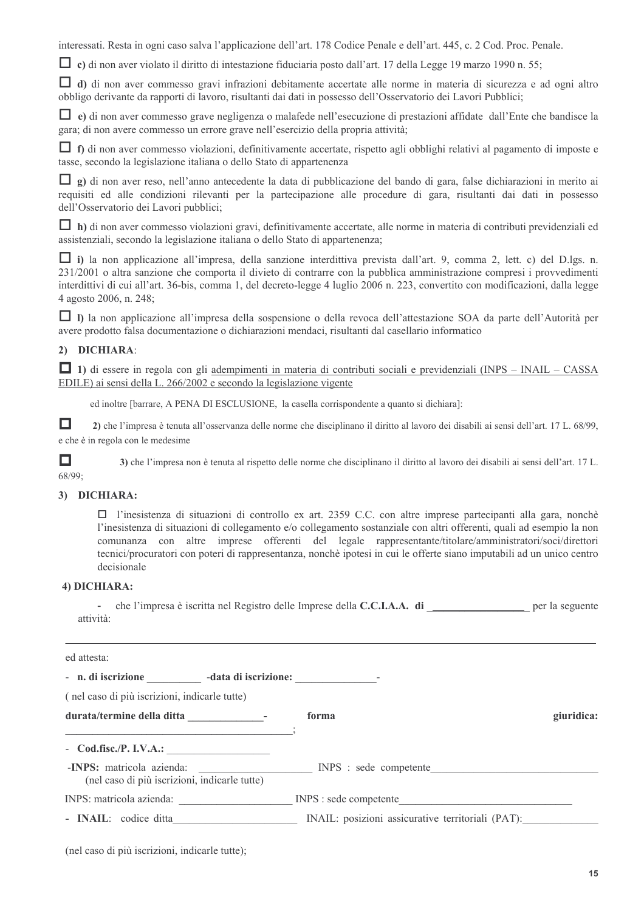interessati. Resta in ogni caso salva l'applicazione dell'art. 178 Codice Penale e dell'art. 445, c. 2 Cod. Proc. Penale.

 $\Box$  c) di non aver violato il diritto di intestazione fiduciaria posto dall'art. 17 della Legge 19 marzo 1990 n. 55;

 $\Box$  d) di non aver commesso gravi infrazioni debitamente accertate alle norme in materia di sicurezza e ad ogni altro obbligo derivante da rapporti di lavoro, risultanti dai dati in possesso dell'Osservatorio dei Lavori Pubblici;

 $\Box$  e) di non aver commesso grave negligenza o malafede nell'esecuzione di prestazioni affidate dall'Ente che bandisce la gara; di non avere commesso un errore grave nell'esercizio della propria attività;

 $\Box$  f) di non aver commesso violazioni, definitivamente accertate, rispetto agli obblighi relativi al pagamento di imposte e tasse, secondo la legislazione italiana o dello Stato di appartenenza

 $\Box$  g) di non aver reso, nell'anno antecedente la data di pubblicazione del bando di gara, false dichiarazioni in merito ai requisiti ed alle condizioni rilevanti per la partecipazione alle procedure di gara, risultanti dai dati in possesso dell'Osservatorio dei Lavori pubblici;

h) di non aver commesso violazioni gravi, definitivamente accertate, alle norme in materia di contributi previdenziali ed assistenziali, secondo la legislazione italiana o dello Stato di appartenenza;

 $\Box$  i) la non applicazione all'impresa, della sanzione interdittiva prevista dall'art. 9, comma 2, lett. c) del D.lgs. n. 231/2001 o altra sanzione che comporta il divieto di contrarre con la pubblica amministrazione compresi i provvedimenti interdittivi di cui all'art. 36-bis, comma 1, del decreto-legge 4 luglio 2006 n. 223, convertito con modificazioni, dalla legge 4 agosto 2006, n. 248;

 $\Box$  I) la non applicazione all'impresa della sospensione o della revoca dell'attestazione SOA da parte dell'Autorità per avere prodotto falsa documentazione o dichiarazioni mendaci, risultanti dal casellario informatico

#### 2) DICHIARA:

1) di essere in regola con gli adempimenti in materia di contributi sociali e previdenziali (INPS - INAIL - CASSA EDILE) ai sensi della L. 266/2002 e secondo la legislazione vigente

ed inoltre [barrare, A PENA DI ESCLUSIONE, la casella corrispondente a quanto si dichiara]:

 $\Box$ 2) che l'impresa è tenuta all'osservanza delle norme che disciplinano il diritto al lavoro dei disabili ai sensi dell'art. 17 L. 68/99, e che è in regola con le medesime

 $\Box$ 3) che l'impresa non è tenuta al rispetto delle norme che disciplinano il diritto al lavoro dei disabili ai sensi dell'art. 17 L. 68/99:

#### 3) DICHIARA:

 $\Box$  l'inesistenza di situazioni di controllo ex art. 2359 C.C. con altre imprese partecipanti alla gara, nonchè l'inesistenza di situazioni di collegamento e/o collegamento sostanziale con altri offerenti, quali ad esempio la non comunanza con altre imprese offerenti del legale rappresentante/titolare/amministratori/soci/direttori tecnici/procuratori con poteri di rappresentanza, nonchè ipotesi in cui le offerte siano imputabili ad un unico centro decisionale

#### 4) DICHIARA:

che l'impresa è iscritta nel Registro delle Imprese della C.C.I.A.A. di per la seguente attività:

| ed attesta:                                                                      |                                                   |            |
|----------------------------------------------------------------------------------|---------------------------------------------------|------------|
| - n. di iscrizione __________ -data di iscrizione: _____________________________ |                                                   |            |
| (nel caso di più iscrizioni, indicarle tutte)                                    |                                                   |            |
|                                                                                  | forma                                             | giuridica: |
| $\sim$ Cod.fisc./P. I.V.A.:                                                      |                                                   |            |
| (nel caso di più iscrizioni, indicarle tutte)                                    | -INPS: matricola azienda: INPS : sede competente  |            |
| INPS: matricola azienda:                                                         | INPS : sede competente                            |            |
| - INAIL: codice ditta                                                            | INAIL: posizioni assicurative territoriali (PAT): |            |

(nel caso di più iscrizioni, indicarle tutte);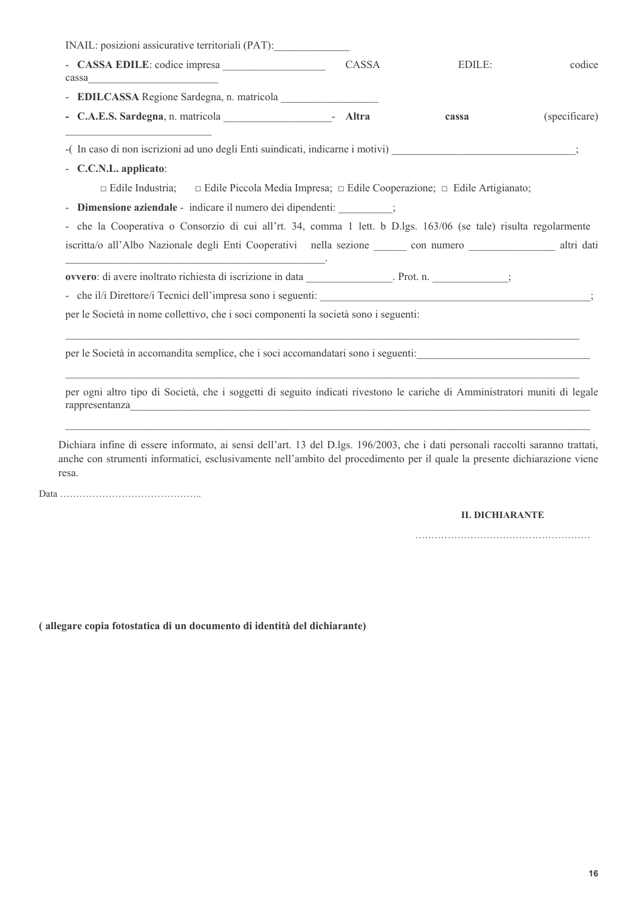| INAIL: posizioni assicurative territoriali (PAT):                                                                                                                                                                                                            |                                                                                          |        |               |
|--------------------------------------------------------------------------------------------------------------------------------------------------------------------------------------------------------------------------------------------------------------|------------------------------------------------------------------------------------------|--------|---------------|
| $cases \qquad \qquad \text{cases}$                                                                                                                                                                                                                           | CASSA                                                                                    | EDILE: | codice        |
|                                                                                                                                                                                                                                                              |                                                                                          |        |               |
|                                                                                                                                                                                                                                                              |                                                                                          | cassa  | (specificare) |
| -(In caso di non iscrizioni ad uno degli Enti suindicati, indicarne i motivi) (3)                                                                                                                                                                            |                                                                                          |        |               |
| - C.C.N.L. applicato:                                                                                                                                                                                                                                        |                                                                                          |        |               |
| $\Box$ Edile Industria;                                                                                                                                                                                                                                      | $\Box$ Edile Piccola Media Impresa; $\Box$ Edile Cooperazione; $\Box$ Edile Artigianato; |        |               |
| - Dimensione aziendale - indicare il numero dei dipendenti: ________;                                                                                                                                                                                        |                                                                                          |        |               |
| - che la Cooperativa o Consorzio di cui all'rt. 34, comma 1 lett. b D.lgs. 163/06 (se tale) risulta regolarmente                                                                                                                                             |                                                                                          |        |               |
| iscritta/o all'Albo Nazionale degli Enti Cooperativi nella sezione con numero con numero altri dati                                                                                                                                                          |                                                                                          |        |               |
|                                                                                                                                                                                                                                                              |                                                                                          |        |               |
|                                                                                                                                                                                                                                                              |                                                                                          |        |               |
|                                                                                                                                                                                                                                                              |                                                                                          |        |               |
| per le Società in nome collettivo, che i soci componenti la società sono i seguenti:                                                                                                                                                                         |                                                                                          |        |               |
|                                                                                                                                                                                                                                                              |                                                                                          |        |               |
| per le Società in accomandita semplice, che i soci accomandatari sono i seguenti:                                                                                                                                                                            |                                                                                          |        |               |
|                                                                                                                                                                                                                                                              |                                                                                          |        |               |
| per ogni altro tipo di Società, che i soggetti di seguito indicati rivestono le cariche di Amministratori muniti di legale                                                                                                                                   |                                                                                          |        |               |
|                                                                                                                                                                                                                                                              |                                                                                          |        |               |
|                                                                                                                                                                                                                                                              |                                                                                          |        |               |
|                                                                                                                                                                                                                                                              |                                                                                          |        |               |
| Dichiara infine di essere informato, ai sensi dell'art. 13 del D.lgs. 196/2003, che i dati personali raccolti saranno trattati,<br>anche con strumenti informatici, esclusivamente nell'ambito del procedimento per il quale la presente dichiarazione viene |                                                                                          |        |               |
| resa.                                                                                                                                                                                                                                                        |                                                                                          |        |               |

#### **IL DICHIARANTE**

(allegare copia fotostatica di un documento di identità del dichiarante)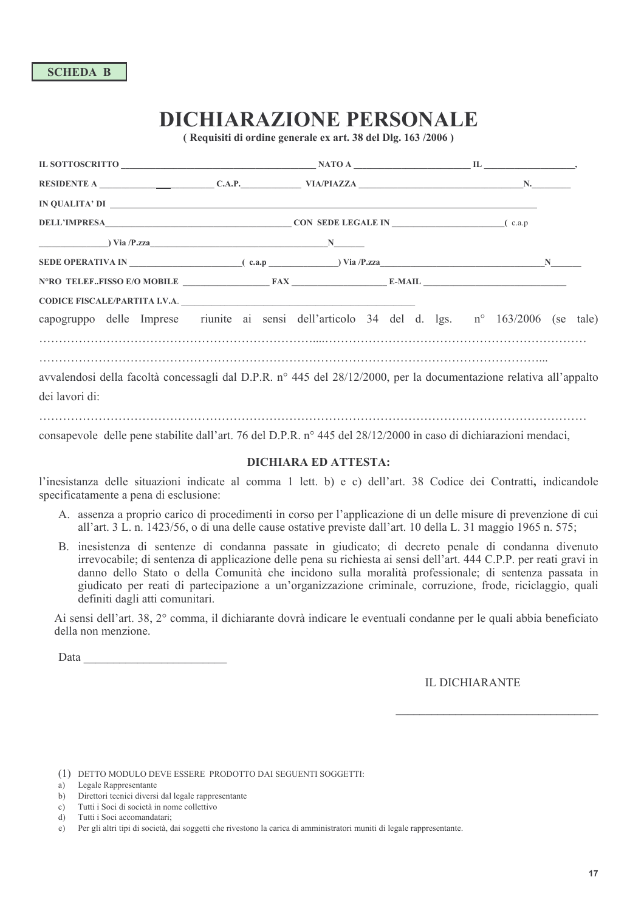# **DICHIARAZIONE PERSONALE**

(Requisiti di ordine generale ex art. 38 del Dlg. 163/2006)

| IN QUALITA' DI                                                                                                                                                                                                                                                                |  |  |  |  |
|-------------------------------------------------------------------------------------------------------------------------------------------------------------------------------------------------------------------------------------------------------------------------------|--|--|--|--|
| <b>DELL'IMPRESA</b> (c.a.p) <b>CON SEDE LEGALE IN</b> (c.a.p) <b>CON SEDE LEGALE IN</b>                                                                                                                                                                                       |  |  |  |  |
| $\frac{N}{N}$ Via /P.zza                                                                                                                                                                                                                                                      |  |  |  |  |
| SEDE OPERATIVA IN $($ c.a.p $)$ $($ c.a.p $)$ $($ $)$ $($ $)$ $($ $)$ $($ $)$ $($ $)$ $($ $)$ $($ $)$ $($ $)$ $($ $)$ $($ $)$ $($ $)$ $($ $)$ $($ $)$ $($ $)$ $($ $)$ $($ $)$ $($ $)$ $($ $)$ $($ $)$ $($ $)$ $($ $)$ $($ $)$ $($ $)$ $($ $)$ $($ $)$ $($ $)$ $($ $)$ $($ $)$ |  |  |  |  |
| $NoRO TELEF. FISSO E/O MOBILE$ $FAX$ $E-MAIL$                                                                                                                                                                                                                                 |  |  |  |  |
|                                                                                                                                                                                                                                                                               |  |  |  |  |
| capogruppo delle Imprese riunite ai sensi dell'articolo 34 del d. lgs. n° 163/2006 (se tale)                                                                                                                                                                                  |  |  |  |  |
|                                                                                                                                                                                                                                                                               |  |  |  |  |
| avvalendosi della facoltà concessagli dal D.P.R. nº 445 del 28/12/2000, per la documentazione relativa all'appalto                                                                                                                                                            |  |  |  |  |
| dei lavori di:                                                                                                                                                                                                                                                                |  |  |  |  |
|                                                                                                                                                                                                                                                                               |  |  |  |  |

consapevole delle pene stabilite dall'art. 76 del D.P.R. nº 445 del 28/12/2000 in caso di dichiarazioni mendaci,

#### **DICHIARA ED ATTESTA:**

l'inesistanza delle situazioni indicate al comma 1 lett. b) e c) dell'art. 38 Codice dei Contratti, indicandole specificatamente a pena di esclusione:

- A. assenza a proprio carico di procedimenti in corso per l'applicazione di un delle misure di prevenzione di cui all'art. 3 L. n. 1423/56, o di una delle cause ostative previste dall'art. 10 della L. 31 maggio 1965 n. 575;
- B. inesistenza di sentenze di condanna passate in giudicato; di decreto penale di condanna divenuto irrevocabile; di sentenza di applicazione delle pena su richiesta ai sensi dell'art. 444 C.P.P. per reati gravi in danno dello Stato o della Comunità che incidono sulla moralità professionale; di sentenza passata in giudicato per reati di partecipazione a un'organizzazione criminale, corruzione, frode, riciclaggio, quali definiti dagli atti comunitari.

Ai sensi dell'art. 38, 2° comma, il dichiarante dovrà indicare le eventuali condanne per le quali abbia beneficiato della non menzione.

Data and the same of the same of the same of the same of the same of the same of the same of the same of the same of the same of the same of the same of the same of the same of the same of the same of the same of the same

#### **IL DICHIARANTE**

(1) DETTO MODULO DEVE ESSERE PRODOTTO DAI SEGUENTI SOGGETTI:

- b) Directori tecnici diversi dal legale rappresentante
- Tutti i Soci di società in nome collettivo  $c)$

a) Legale Rappresentante

d) Tutti i Soci accomandatari:

e) Per gli altri tipi di società, dai soggetti che rivestono la carica di amministratori muniti di legale rappresentante.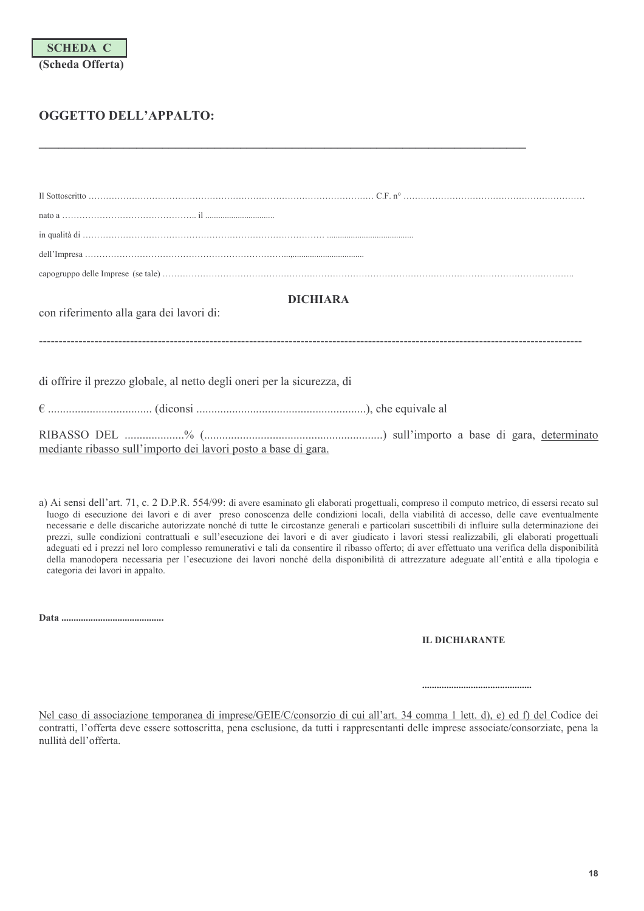## OGGETTO DELL'APPALTO:

| <b>DICHIARA</b><br>con riferimento alla gara dei lavori di:             |
|-------------------------------------------------------------------------|
| di offrire il prezzo globale, al netto degli oneri per la sicurezza, di |
|                                                                         |
| mediante ribasso sull'importo dei lavori posto a base di gara.          |

a) Ai sensi dell'art. 71, c. 2 D.P.R. 554/99: di avere esaminato gli elaborati progettuali, compreso il computo metrico, di essersi recato sul luogo di esecuzione dei lavori e di aver preso conoscenza delle condizioni locali, della viabilità di accesso, delle cave eventualmente necessarie e delle discariche autorizzate nonché di tutte le circostanze generali e particolari suscettibili di influire sulla determinazione dei prezzi, sulle condizioni contrattuali e sull'esecuzione dei lavori e di aver giudicato i lavori stessi realizzabili, gli elaborati progettuali adeguati ed i prezzi nel loro complesso remunerativi e tali da consentire il ribasso offerto; di aver effettuato una verifica della disponibilità della manodopera necessaria per l'esecuzione dei lavori nonché della disponibilità di attrezzature adeguate all'entità e alla tipologia e categoria dei lavori in appalto.

**IL DICHIARANTE** 

Nel caso di associazione temporanea di imprese/GEIE/C/consorzio di cui all'art. 34 comma 1 lett. d), e) ed f) del Codice dei contratti, l'offerta deve essere sottoscritta, pena esclusione, da tutti i rappresentanti delle imprese associate/consorziate, pena la nullità dell'offerta.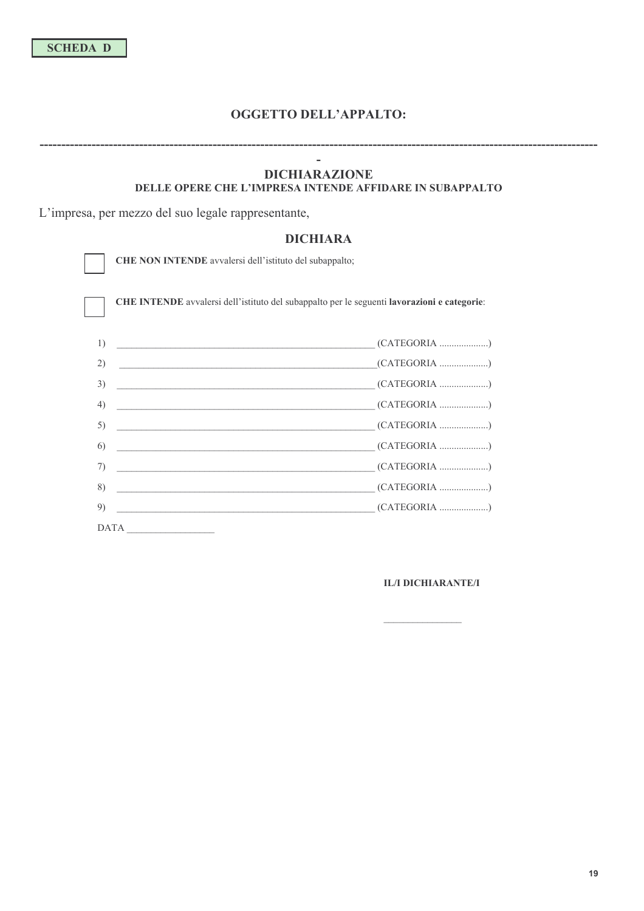#### OGGETTO DELL'APPALTO:

#### !-**DICHIARAZIONE**

#### DELLE OPERE CHE L'IMPRESA INTENDE AFFIDARE IN SUBAPPALTO

L'impresa, per mezzo del suo legale rappresentante,

#### **DICHIARA**

CHE NON INTENDE avvalersi dell'istituto del subappalto;

CHE INTENDE avvalersi dell'istituto del subappalto per le seguenti lavorazioni e categorie:



#### $\rm IL/I$ IL/I DICHIARANTE/I

!!!!!!!!!!!!!!!!!!!!!!!!!!!!!!!!!!!!!!!!!!!!!!!!!!!!!!!!!!!!!!!!!!!!!!!!!!!!!!!!!!!!!!!!!!!!!!!!!!!!!!!!!!!!!!!!!!!!!!!!!!!!!!!!!